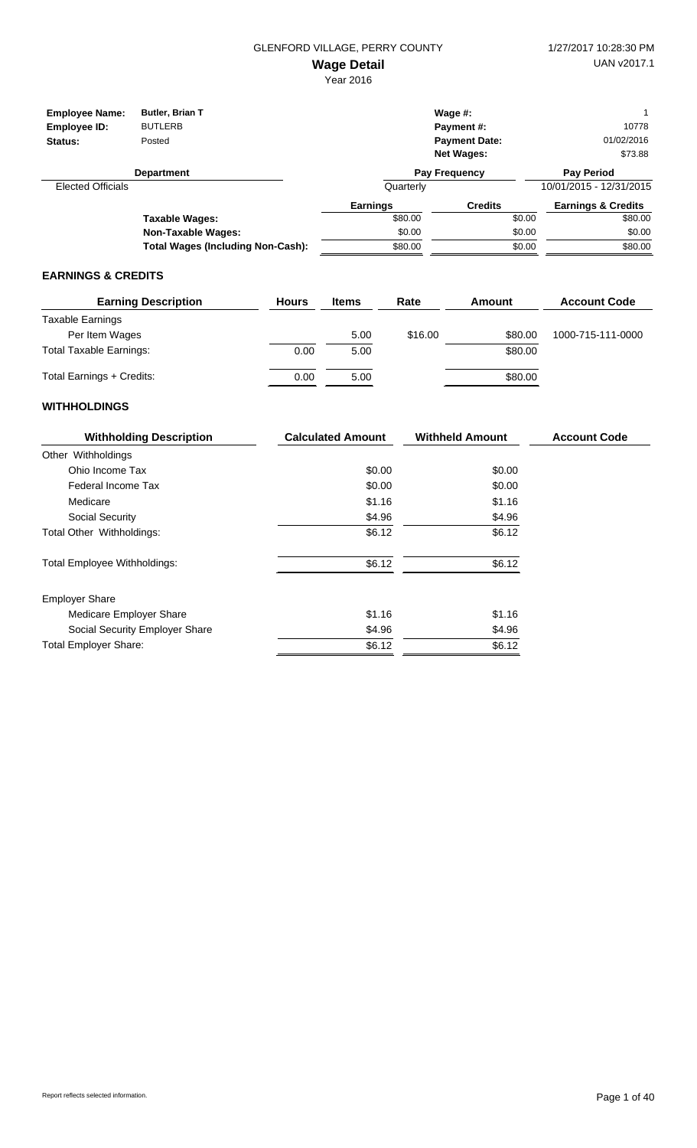| <b>Employee Name:</b><br>Employee ID:<br>Status: | <b>Butler, Brian T</b><br><b>BUTLERB</b><br>Posted |                 | Wage $#$ :<br>Payment#:<br><b>Payment Date:</b><br><b>Net Wages:</b> |        | 10778<br>01/02/2016<br>\$73.88 |
|--------------------------------------------------|----------------------------------------------------|-----------------|----------------------------------------------------------------------|--------|--------------------------------|
|                                                  | <b>Department</b>                                  |                 | <b>Pay Frequency</b>                                                 |        | <b>Pay Period</b>              |
| <b>Elected Officials</b>                         |                                                    | Quarterly       |                                                                      |        | 10/01/2015 - 12/31/2015        |
|                                                  |                                                    | <b>Earnings</b> | <b>Credits</b>                                                       |        | <b>Earnings &amp; Credits</b>  |
|                                                  | Taxable Wages:                                     | \$80.00         |                                                                      | \$0.00 | \$80.00                        |
|                                                  | Non-Taxable Wages:                                 | \$0.00          |                                                                      | \$0.00 | \$0.00                         |
|                                                  | <b>Total Wages (Including Non-Cash):</b>           | \$80.00         |                                                                      | \$0.00 | \$80.00                        |

#### **EARNINGS & CREDITS**

| <b>Earning Description</b>     | <b>Hours</b> | <b>Items</b> | Rate    | Amount  | <b>Account Code</b> |
|--------------------------------|--------------|--------------|---------|---------|---------------------|
| Taxable Earnings               |              |              |         |         |                     |
| Per Item Wages                 |              | 5.00         | \$16.00 | \$80.00 | 1000-715-111-0000   |
| <b>Total Taxable Earnings:</b> | 0.00         | 5.00         |         | \$80.00 |                     |
| Total Earnings + Credits:      | 0.00         | 5.00         |         | \$80.00 |                     |

| <b>Withholding Description</b>      | <b>Calculated Amount</b> | <b>Withheld Amount</b> | <b>Account Code</b> |
|-------------------------------------|--------------------------|------------------------|---------------------|
| Other Withholdings                  |                          |                        |                     |
| Ohio Income Tax                     | \$0.00                   | \$0.00                 |                     |
| Federal Income Tax                  | \$0.00                   | \$0.00                 |                     |
| Medicare                            | \$1.16                   | \$1.16                 |                     |
| Social Security                     | \$4.96                   | \$4.96                 |                     |
| Total Other Withholdings:           | \$6.12                   | \$6.12                 |                     |
| <b>Total Employee Withholdings:</b> | \$6.12                   | \$6.12                 |                     |
| <b>Employer Share</b>               |                          |                        |                     |
| Medicare Employer Share             | \$1.16                   | \$1.16                 |                     |
| Social Security Employer Share      | \$4.96                   | \$4.96                 |                     |
| <b>Total Employer Share:</b>        | \$6.12                   | \$6.12                 |                     |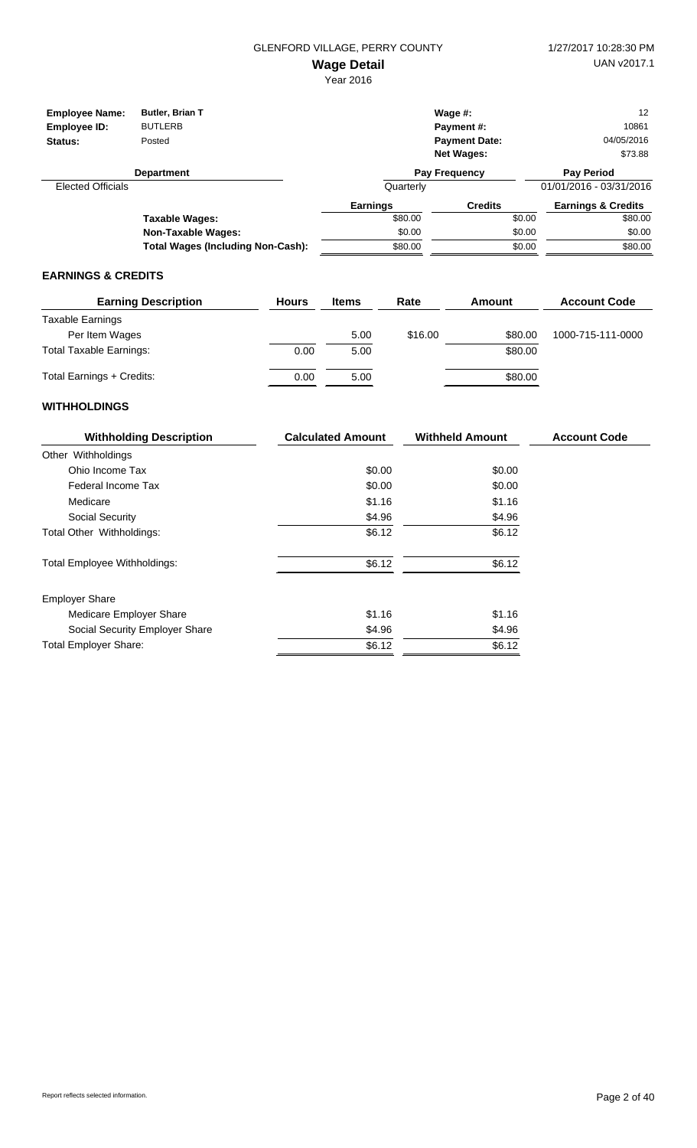| <b>Employee Name:</b><br>Employee ID:<br>Status: | <b>Butler, Brian T</b><br><b>BUTLERB</b><br>Posted |                 | Wage $#$ :<br><b>Payment #:</b><br><b>Payment Date:</b><br><b>Net Wages:</b> |        | 12<br>10861<br>04/05/2016<br>\$73.88 |
|--------------------------------------------------|----------------------------------------------------|-----------------|------------------------------------------------------------------------------|--------|--------------------------------------|
|                                                  | <b>Department</b>                                  |                 | <b>Pay Frequency</b>                                                         |        | <b>Pay Period</b>                    |
| <b>Elected Officials</b>                         |                                                    | Quarterly       |                                                                              |        | 01/01/2016 - 03/31/2016              |
|                                                  |                                                    | <b>Earnings</b> | <b>Credits</b>                                                               |        | <b>Earnings &amp; Credits</b>        |
|                                                  | Taxable Wages:                                     | \$80.00         |                                                                              | \$0.00 | \$80.00                              |
|                                                  | Non-Taxable Wages:                                 | \$0.00          |                                                                              | \$0.00 | \$0.00                               |
|                                                  | <b>Total Wages (Including Non-Cash):</b>           | \$80.00         |                                                                              | \$0.00 | \$80.00                              |

#### **EARNINGS & CREDITS**

| <b>Earning Description</b>     | <b>Hours</b> | <b>Items</b> | Rate    | Amount  | <b>Account Code</b> |
|--------------------------------|--------------|--------------|---------|---------|---------------------|
| Taxable Earnings               |              |              |         |         |                     |
| Per Item Wages                 |              | 5.00         | \$16.00 | \$80.00 | 1000-715-111-0000   |
| <b>Total Taxable Earnings:</b> | 0.00         | 5.00         |         | \$80.00 |                     |
| Total Earnings + Credits:      | 0.00         | 5.00         |         | \$80.00 |                     |

| <b>Withholding Description</b>      | <b>Calculated Amount</b> | <b>Withheld Amount</b> | <b>Account Code</b> |
|-------------------------------------|--------------------------|------------------------|---------------------|
| Other Withholdings                  |                          |                        |                     |
| Ohio Income Tax                     | \$0.00                   | \$0.00                 |                     |
| Federal Income Tax                  | \$0.00                   | \$0.00                 |                     |
| Medicare                            | \$1.16                   | \$1.16                 |                     |
| Social Security                     | \$4.96                   | \$4.96                 |                     |
| Total Other Withholdings:           | \$6.12                   | \$6.12                 |                     |
| <b>Total Employee Withholdings:</b> | \$6.12                   | \$6.12                 |                     |
| <b>Employer Share</b>               |                          |                        |                     |
| Medicare Employer Share             | \$1.16                   | \$1.16                 |                     |
| Social Security Employer Share      | \$4.96                   | \$4.96                 |                     |
| <b>Total Employer Share:</b>        | \$6.12                   | \$6.12                 |                     |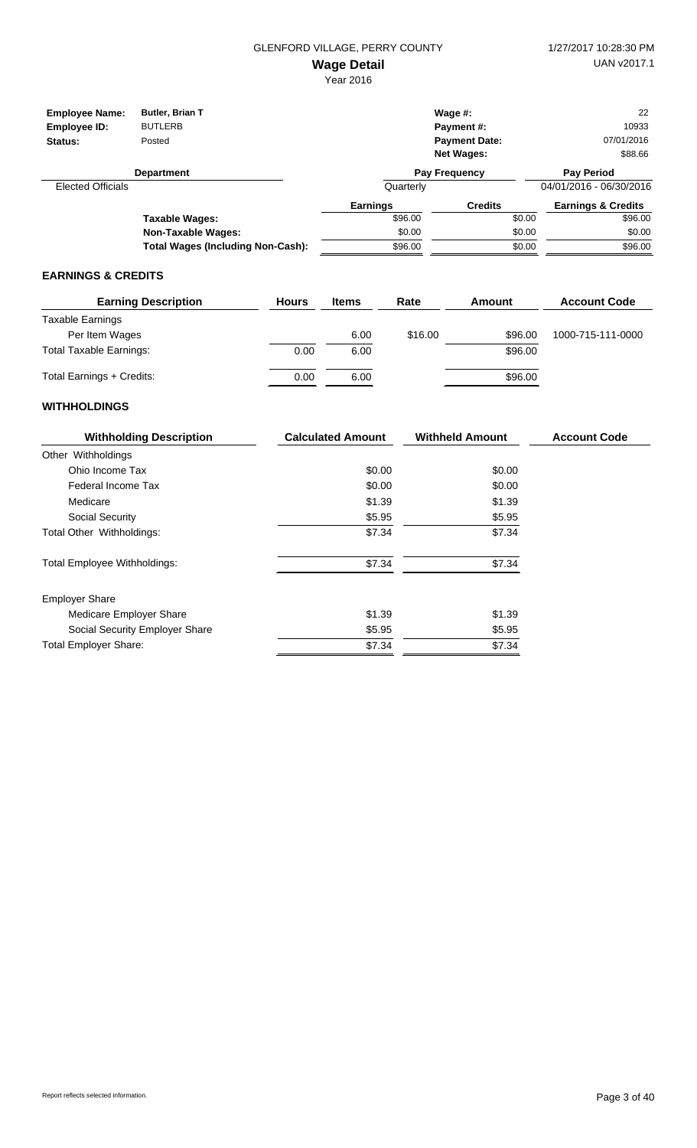| <b>Employee Name:</b><br>Employee ID: | Butler, Brian T<br><b>BUTLERB</b>        |                 | Wage $#$ :<br><b>Payment #:</b> |        | 22<br>10933                   |
|---------------------------------------|------------------------------------------|-----------------|---------------------------------|--------|-------------------------------|
| Status:                               | Posted                                   |                 | <b>Payment Date:</b>            |        | 07/01/2016                    |
|                                       |                                          |                 | <b>Net Wages:</b>               |        | \$88.66                       |
|                                       | <b>Department</b>                        |                 | <b>Pay Frequency</b>            |        | <b>Pay Period</b>             |
| <b>Elected Officials</b>              |                                          | Quarterly       |                                 |        | 04/01/2016 - 06/30/2016       |
|                                       |                                          | <b>Earnings</b> | <b>Credits</b>                  |        | <b>Earnings &amp; Credits</b> |
|                                       | <b>Taxable Wages:</b>                    | \$96.00         |                                 | \$0.00 | \$96.00                       |
|                                       | <b>Non-Taxable Wages:</b>                | \$0.00          |                                 | \$0.00 | \$0.00                        |
|                                       | <b>Total Wages (Including Non-Cash):</b> | \$96.00         |                                 | \$0.00 | \$96.00                       |

#### **EARNINGS & CREDITS**

| <b>Earning Description</b>     | <b>Hours</b> | <b>Items</b> | Rate    | Amount  | <b>Account Code</b> |
|--------------------------------|--------------|--------------|---------|---------|---------------------|
| Taxable Earnings               |              |              |         |         |                     |
| Per Item Wages                 |              | 6.00         | \$16.00 | \$96.00 | 1000-715-111-0000   |
| <b>Total Taxable Earnings:</b> | 0.00         | 6.00         |         | \$96.00 |                     |
| Total Earnings + Credits:      | 0.00         | 6.00         |         | \$96.00 |                     |

| <b>Withholding Description</b>      | <b>Calculated Amount</b> | <b>Withheld Amount</b> | <b>Account Code</b> |
|-------------------------------------|--------------------------|------------------------|---------------------|
| Other Withholdings                  |                          |                        |                     |
| Ohio Income Tax                     | \$0.00                   | \$0.00                 |                     |
| Federal Income Tax                  | \$0.00                   | \$0.00                 |                     |
| Medicare                            | \$1.39                   | \$1.39                 |                     |
| Social Security                     | \$5.95                   | \$5.95                 |                     |
| Total Other Withholdings:           | \$7.34                   | \$7.34                 |                     |
| <b>Total Employee Withholdings:</b> | \$7.34                   | \$7.34                 |                     |
| <b>Employer Share</b>               |                          |                        |                     |
| Medicare Employer Share             | \$1.39                   | \$1.39                 |                     |
| Social Security Employer Share      | \$5.95                   | \$5.95                 |                     |
| <b>Total Employer Share:</b>        | \$7.34                   | \$7.34                 |                     |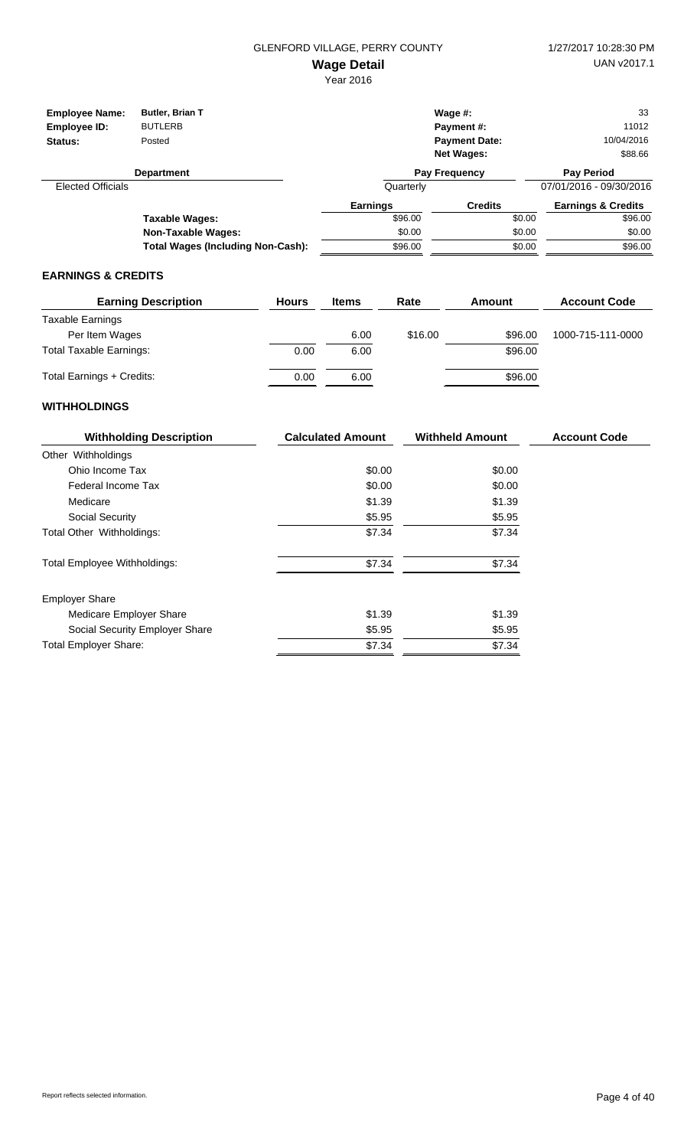| <b>Employee Name:</b><br>Employee ID: | Butler, Brian T<br><b>BUTLERB</b>        |                 | Wage $#$ :<br><b>Payment #:</b> |        | 33<br>11012                   |
|---------------------------------------|------------------------------------------|-----------------|---------------------------------|--------|-------------------------------|
| Status:                               | Posted                                   |                 | <b>Payment Date:</b>            |        | 10/04/2016                    |
|                                       |                                          |                 | <b>Net Wages:</b>               |        | \$88.66                       |
|                                       | <b>Department</b>                        |                 | <b>Pay Frequency</b>            |        | <b>Pay Period</b>             |
| <b>Elected Officials</b>              |                                          | Quarterly       |                                 |        | 07/01/2016 - 09/30/2016       |
|                                       |                                          | <b>Earnings</b> | <b>Credits</b>                  |        | <b>Earnings &amp; Credits</b> |
|                                       | <b>Taxable Wages:</b>                    | \$96.00         |                                 | \$0.00 | \$96.00                       |
|                                       | <b>Non-Taxable Wages:</b>                | \$0.00          |                                 | \$0.00 | \$0.00                        |
|                                       | <b>Total Wages (Including Non-Cash):</b> | \$96.00         |                                 | \$0.00 | \$96.00                       |

#### **EARNINGS & CREDITS**

| <b>Earning Description</b>     | <b>Hours</b> | <b>Items</b> | Rate    | Amount  | <b>Account Code</b> |
|--------------------------------|--------------|--------------|---------|---------|---------------------|
| Taxable Earnings               |              |              |         |         |                     |
| Per Item Wages                 |              | 6.00         | \$16.00 | \$96.00 | 1000-715-111-0000   |
| <b>Total Taxable Earnings:</b> | 0.00         | 6.00         |         | \$96.00 |                     |
| Total Earnings + Credits:      | 0.00         | 6.00         |         | \$96.00 |                     |

| <b>Withholding Description</b>      | <b>Calculated Amount</b> | <b>Withheld Amount</b> | <b>Account Code</b> |
|-------------------------------------|--------------------------|------------------------|---------------------|
| Other Withholdings                  |                          |                        |                     |
| Ohio Income Tax                     | \$0.00                   | \$0.00                 |                     |
| Federal Income Tax                  | \$0.00                   | \$0.00                 |                     |
| Medicare                            | \$1.39                   | \$1.39                 |                     |
| Social Security                     | \$5.95                   | \$5.95                 |                     |
| Total Other Withholdings:           | \$7.34                   | \$7.34                 |                     |
| <b>Total Employee Withholdings:</b> | \$7.34                   | \$7.34                 |                     |
| <b>Employer Share</b>               |                          |                        |                     |
| Medicare Employer Share             | \$1.39                   | \$1.39                 |                     |
| Social Security Employer Share      | \$5.95                   | \$5.95                 |                     |
| <b>Total Employer Share:</b>        | \$7.34                   | \$7.34                 |                     |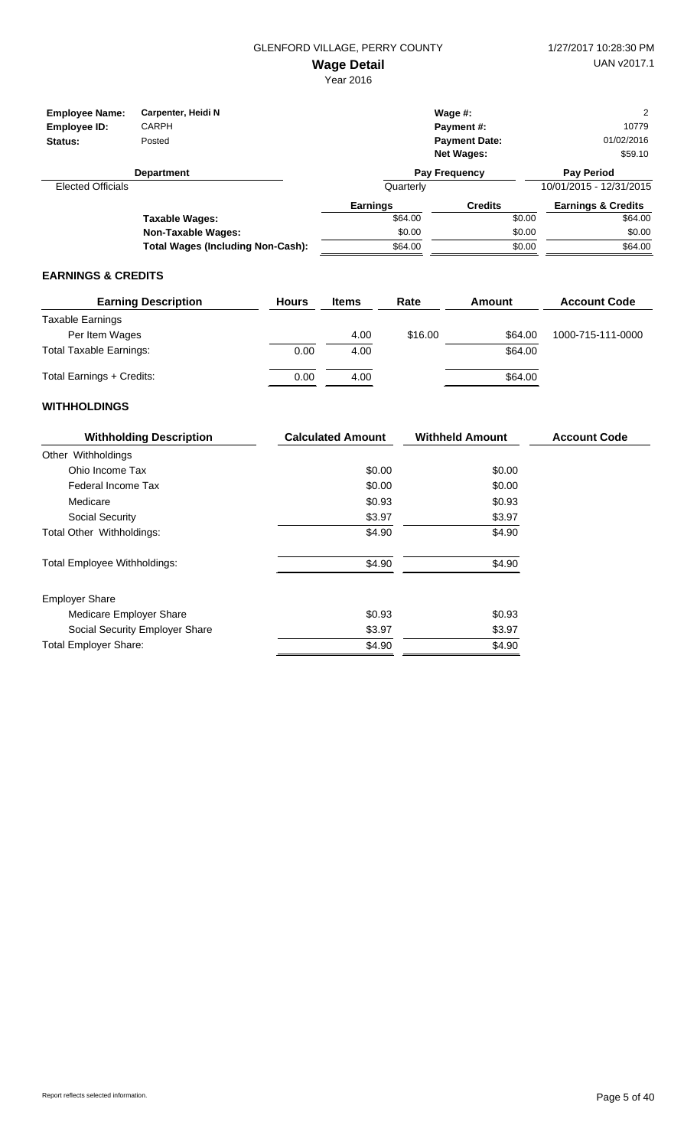| <b>Employee Name:</b><br>Employee ID:<br>Status: | Carpenter, Heidi N<br><b>CARPH</b><br>Posted |           | Wage $#$ :<br><b>Payment #:</b><br><b>Payment Date:</b><br><b>Net Wages:</b> | 10779<br>01/02/2016<br>\$59.10 |  |
|--------------------------------------------------|----------------------------------------------|-----------|------------------------------------------------------------------------------|--------------------------------|--|
|                                                  | <b>Department</b>                            |           | <b>Pay Frequency</b>                                                         | <b>Pay Period</b>              |  |
| <b>Elected Officials</b>                         |                                              | Quarterly |                                                                              | 10/01/2015 - 12/31/2015        |  |
|                                                  |                                              | Earnings  | <b>Credits</b>                                                               | <b>Earnings &amp; Credits</b>  |  |
|                                                  | Taxable Wages:                               | \$64.00   |                                                                              | \$64.00<br>\$0.00              |  |
|                                                  | <b>Non-Taxable Wages:</b>                    | \$0.00    |                                                                              | \$0.00<br>\$0.00               |  |
|                                                  | <b>Total Wages (Including Non-Cash):</b>     | \$64.00   |                                                                              | \$64.00<br>\$0.00              |  |

#### **EARNINGS & CREDITS**

| <b>Earning Description</b>     | <b>Hours</b> | <b>Items</b> | Rate    | Amount  | <b>Account Code</b> |
|--------------------------------|--------------|--------------|---------|---------|---------------------|
| Taxable Earnings               |              |              |         |         |                     |
| Per Item Wages                 |              | 4.00         | \$16.00 | \$64.00 | 1000-715-111-0000   |
| <b>Total Taxable Earnings:</b> | 0.00         | 4.00         |         | \$64.00 |                     |
| Total Earnings + Credits:      | 0.00         | 4.00         |         | \$64.00 |                     |

| <b>Withholding Description</b>      | <b>Calculated Amount</b> | <b>Withheld Amount</b> | <b>Account Code</b> |
|-------------------------------------|--------------------------|------------------------|---------------------|
| Other Withholdings                  |                          |                        |                     |
| Ohio Income Tax                     | \$0.00                   | \$0.00                 |                     |
| Federal Income Tax                  | \$0.00                   | \$0.00                 |                     |
| Medicare                            | \$0.93                   | \$0.93                 |                     |
| Social Security                     | \$3.97                   | \$3.97                 |                     |
| Total Other Withholdings:           | \$4.90                   | \$4.90                 |                     |
| <b>Total Employee Withholdings:</b> | \$4.90                   | \$4.90                 |                     |
| <b>Employer Share</b>               |                          |                        |                     |
| Medicare Employer Share             | \$0.93                   | \$0.93                 |                     |
| Social Security Employer Share      | \$3.97                   | \$3.97                 |                     |
| <b>Total Employer Share:</b>        | \$4.90                   | \$4.90                 |                     |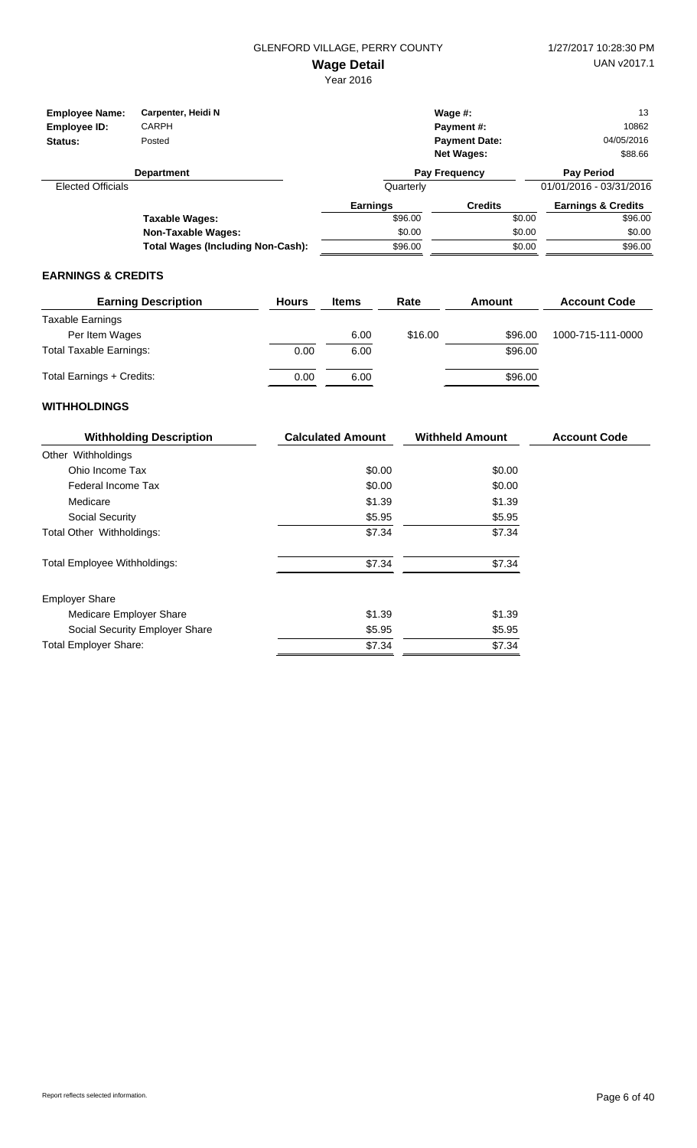Year 2016

| <b>Employee Name:</b><br>Employee ID:<br>Status: | Carpenter, Heidi N<br><b>CARPH</b><br>Posted |                 | Wage $#$ :<br>Payment#:<br><b>Payment Date:</b><br><b>Net Wages:</b> | 13<br>10862<br>04/05/2016<br>\$88.66 |
|--------------------------------------------------|----------------------------------------------|-----------------|----------------------------------------------------------------------|--------------------------------------|
|                                                  | <b>Department</b>                            |                 | Pay Frequency                                                        | <b>Pay Period</b>                    |
| <b>Elected Officials</b>                         |                                              | Quarterly       |                                                                      | 01/01/2016 - 03/31/2016              |
|                                                  |                                              | <b>Earnings</b> | <b>Credits</b>                                                       | <b>Earnings &amp; Credits</b>        |
|                                                  | Taxable Waqes:                               | \$96.00         | \$0.00                                                               | \$96.00                              |
|                                                  | <b>Non-Taxable Wages:</b>                    | \$0.00          | \$0.00                                                               | \$0.00                               |
|                                                  | Total Wages (Including Non-Cash):            | \$96.00         | \$0.00                                                               | \$96.00                              |

## **EARNINGS & CREDITS**

| <b>Earning Description</b>     | <b>Hours</b> | <b>Items</b> | Rate    | Amount  | <b>Account Code</b> |
|--------------------------------|--------------|--------------|---------|---------|---------------------|
| Taxable Earnings               |              |              |         |         |                     |
| Per Item Wages                 |              | 6.00         | \$16.00 | \$96.00 | 1000-715-111-0000   |
| <b>Total Taxable Earnings:</b> | 0.00         | 6.00         |         | \$96.00 |                     |
| Total Earnings + Credits:      | 0.00         | 6.00         |         | \$96.00 |                     |

| <b>Withholding Description</b>      | <b>Calculated Amount</b> |        | <b>Account Code</b> |
|-------------------------------------|--------------------------|--------|---------------------|
| Other Withholdings                  |                          |        |                     |
| Ohio Income Tax                     | \$0.00                   | \$0.00 |                     |
| Federal Income Tax                  | \$0.00                   | \$0.00 |                     |
| Medicare                            | \$1.39                   | \$1.39 |                     |
| Social Security                     | \$5.95                   | \$5.95 |                     |
| Total Other Withholdings:           | \$7.34                   | \$7.34 |                     |
| <b>Total Employee Withholdings:</b> | \$7.34                   | \$7.34 |                     |
| <b>Employer Share</b>               |                          |        |                     |
| Medicare Employer Share             | \$1.39                   | \$1.39 |                     |
| Social Security Employer Share      | \$5.95                   | \$5.95 |                     |
| <b>Total Employer Share:</b>        | \$7.34                   | \$7.34 |                     |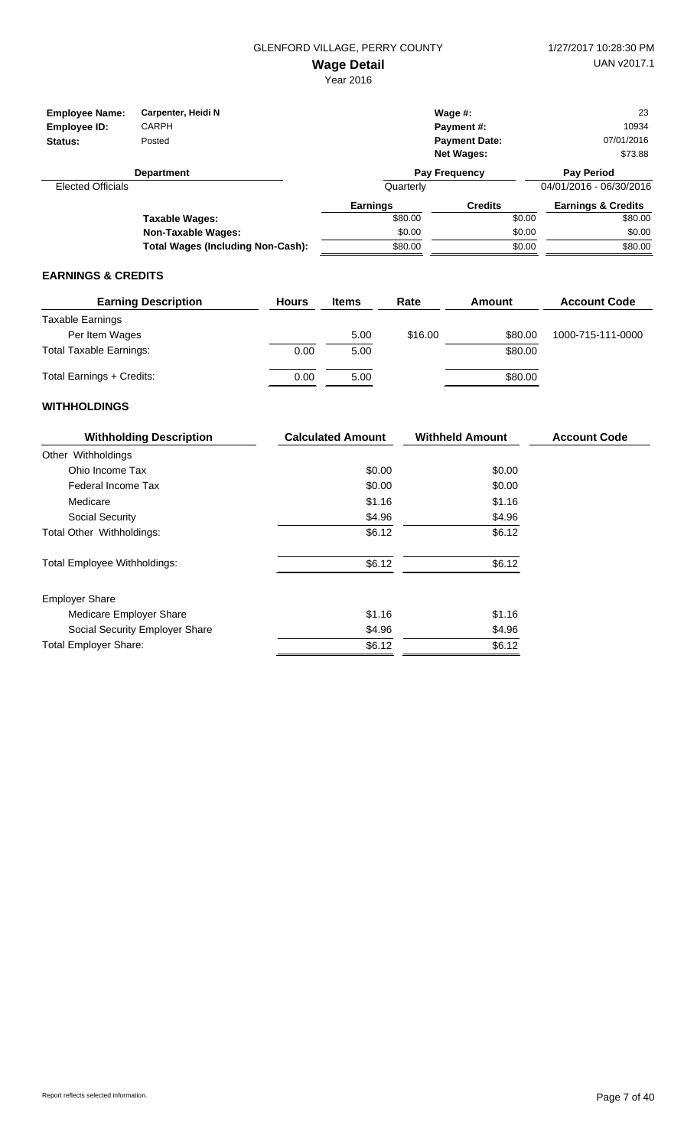| <b>Employee Name:</b>    | Carpenter, Heidi N<br>CARPH              |                 | Wage $#$ :<br><b>Payment #:</b> | 10934                         | 23 |
|--------------------------|------------------------------------------|-----------------|---------------------------------|-------------------------------|----|
| Employee ID:             |                                          |                 |                                 |                               |    |
| Status:                  | Posted                                   |                 | <b>Payment Date:</b>            | 07/01/2016                    |    |
|                          |                                          |                 | <b>Net Wages:</b>               | \$73.88                       |    |
|                          | <b>Department</b>                        |                 | Pay Frequency                   | <b>Pay Period</b>             |    |
| <b>Elected Officials</b> |                                          | Quarterly       |                                 | 04/01/2016 - 06/30/2016       |    |
|                          |                                          | <b>Earnings</b> | <b>Credits</b>                  | <b>Earnings &amp; Credits</b> |    |
|                          | Taxable Wages:                           | \$80.00         |                                 | \$80.00<br>\$0.00             |    |
|                          | <b>Non-Taxable Wages:</b>                | \$0.00          |                                 | \$0.00<br>\$0.00              |    |
|                          | <b>Total Wages (Including Non-Cash):</b> | \$80.00         |                                 | \$80.00<br>\$0.00             |    |

#### **EARNINGS & CREDITS**

| <b>Earning Description</b>     | <b>Hours</b> | <b>Items</b> | Rate    | Amount  | <b>Account Code</b> |
|--------------------------------|--------------|--------------|---------|---------|---------------------|
| Taxable Earnings               |              |              |         |         |                     |
| Per Item Wages                 |              | 5.00         | \$16.00 | \$80.00 | 1000-715-111-0000   |
| <b>Total Taxable Earnings:</b> | 0.00         | 5.00         |         | \$80.00 |                     |
| Total Earnings + Credits:      | 0.00         | 5.00         |         | \$80.00 |                     |

| <b>Withholding Description</b>      | <b>Calculated Amount</b> | <b>Withheld Amount</b> | <b>Account Code</b> |
|-------------------------------------|--------------------------|------------------------|---------------------|
| Other Withholdings                  |                          |                        |                     |
| Ohio Income Tax                     | \$0.00                   | \$0.00                 |                     |
| Federal Income Tax                  | \$0.00                   | \$0.00                 |                     |
| Medicare                            | \$1.16                   | \$1.16                 |                     |
| Social Security                     | \$4.96                   | \$4.96                 |                     |
| Total Other Withholdings:           | \$6.12                   | \$6.12                 |                     |
| <b>Total Employee Withholdings:</b> | \$6.12                   | \$6.12                 |                     |
| <b>Employer Share</b>               |                          |                        |                     |
| Medicare Employer Share             | \$1.16                   | \$1.16                 |                     |
| Social Security Employer Share      | \$4.96                   | \$4.96                 |                     |
| <b>Total Employer Share:</b>        | \$6.12                   | \$6.12                 |                     |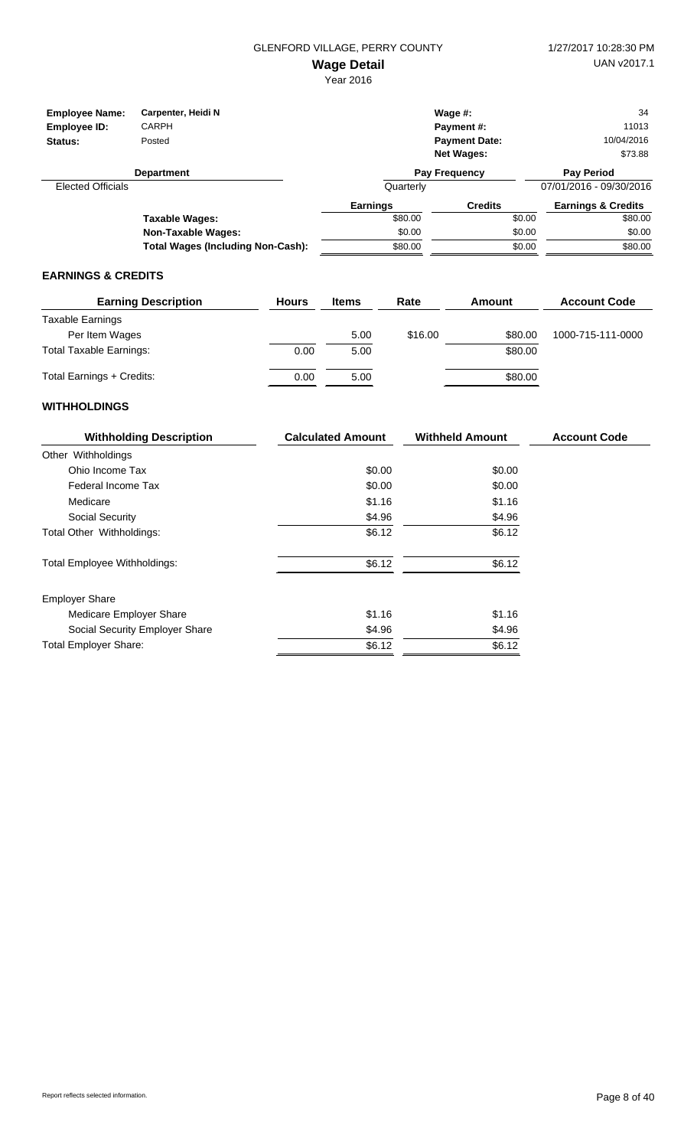| <b>Employee Name:</b>    | Carpenter, Heidi N                       |                 | Wage $#$ :           |        | 34                            |
|--------------------------|------------------------------------------|-----------------|----------------------|--------|-------------------------------|
| Employee ID:             | CARPH                                    |                 | <b>Payment #:</b>    |        | 11013                         |
| Status:                  | Posted                                   |                 | <b>Payment Date:</b> |        | 10/04/2016                    |
|                          |                                          |                 | <b>Net Wages:</b>    |        | \$73.88                       |
|                          | <b>Department</b>                        |                 | Pay Frequency        |        | <b>Pay Period</b>             |
| <b>Elected Officials</b> |                                          | Quarterly       |                      |        | 07/01/2016 - 09/30/2016       |
|                          |                                          | <b>Earnings</b> | <b>Credits</b>       |        | <b>Earnings &amp; Credits</b> |
|                          | Taxable Wages:                           | \$80.00         |                      | \$0.00 | \$80.00                       |
|                          | <b>Non-Taxable Wages:</b>                | \$0.00          |                      | \$0.00 | \$0.00                        |
|                          | <b>Total Wages (Including Non-Cash):</b> | \$80.00         |                      | \$0.00 | \$80.00                       |

#### **EARNINGS & CREDITS**

| <b>Earning Description</b>     | <b>Hours</b> | <b>Items</b> | Rate    | Amount  | <b>Account Code</b> |
|--------------------------------|--------------|--------------|---------|---------|---------------------|
| Taxable Earnings               |              |              |         |         |                     |
| Per Item Wages                 |              | 5.00         | \$16.00 | \$80.00 | 1000-715-111-0000   |
| <b>Total Taxable Earnings:</b> | 0.00         | 5.00         |         | \$80.00 |                     |
| Total Earnings + Credits:      | 0.00         | 5.00         |         | \$80.00 |                     |

| <b>Withholding Description</b>      | <b>Calculated Amount</b> | <b>Withheld Amount</b> | <b>Account Code</b> |
|-------------------------------------|--------------------------|------------------------|---------------------|
| Other Withholdings                  |                          |                        |                     |
| Ohio Income Tax                     | \$0.00                   | \$0.00                 |                     |
| Federal Income Tax                  | \$0.00                   | \$0.00                 |                     |
| Medicare                            | \$1.16                   | \$1.16                 |                     |
| Social Security                     | \$4.96                   | \$4.96                 |                     |
| Total Other Withholdings:           | \$6.12                   | \$6.12                 |                     |
| <b>Total Employee Withholdings:</b> | \$6.12                   | \$6.12                 |                     |
| <b>Employer Share</b>               |                          |                        |                     |
| Medicare Employer Share             | \$1.16                   | \$1.16                 |                     |
| Social Security Employer Share      | \$4.96                   | \$4.96                 |                     |
| <b>Total Employer Share:</b>        | \$6.12                   | \$6.12                 |                     |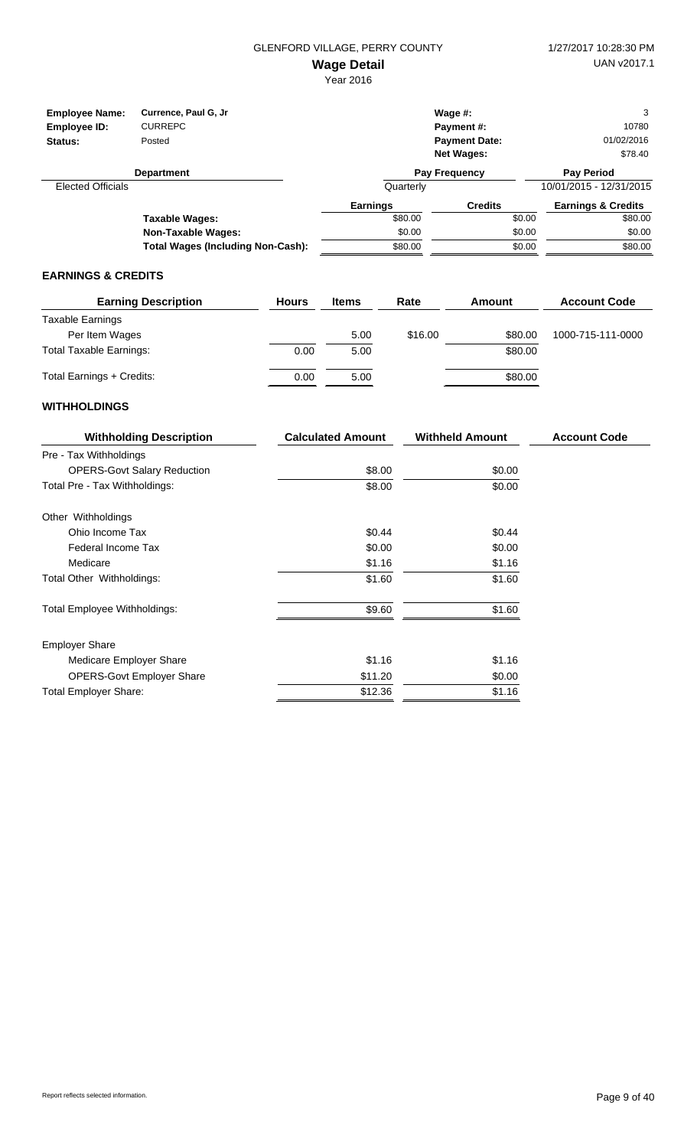| <b>Employee Name:</b><br>Employee ID:<br>Status: | Currence, Paul G, Jr<br><b>CURREPC</b><br>Posted |                 | Wage $#$ :<br><b>Payment #:</b><br><b>Payment Date:</b><br><b>Net Wages:</b> | 3<br>10780<br>01/02/2016<br>\$78.40 |
|--------------------------------------------------|--------------------------------------------------|-----------------|------------------------------------------------------------------------------|-------------------------------------|
|                                                  | <b>Department</b>                                |                 | Pay Frequency                                                                | <b>Pay Period</b>                   |
| <b>Elected Officials</b>                         |                                                  | Quarterly       |                                                                              | 10/01/2015 - 12/31/2015             |
|                                                  |                                                  | <b>Earnings</b> | <b>Credits</b>                                                               | <b>Earnings &amp; Credits</b>       |
|                                                  | Taxable Wages:                                   | \$80.00         | \$0.00                                                                       | \$80.00                             |
|                                                  | <b>Non-Taxable Wages:</b>                        | \$0.00          | \$0.00                                                                       | \$0.00                              |
|                                                  | <b>Total Wages (Including Non-Cash):</b>         | \$80.00         | \$0.00                                                                       | \$80.00                             |

#### **EARNINGS & CREDITS**

| <b>Earning Description</b>     | <b>Hours</b> | <b>Items</b> | Rate    | Amount  | <b>Account Code</b> |
|--------------------------------|--------------|--------------|---------|---------|---------------------|
| Taxable Earnings               |              |              |         |         |                     |
| Per Item Wages                 |              | 5.00         | \$16.00 | \$80.00 | 1000-715-111-0000   |
| <b>Total Taxable Earnings:</b> | 0.00         | 5.00         |         | \$80.00 |                     |
| Total Earnings + Credits:      | 0.00         | 5.00         |         | \$80.00 |                     |

| <b>Withholding Description</b>     | <b>Calculated Amount</b> | <b>Withheld Amount</b> | <b>Account Code</b> |
|------------------------------------|--------------------------|------------------------|---------------------|
| Pre - Tax Withholdings             |                          |                        |                     |
| <b>OPERS-Govt Salary Reduction</b> | \$8.00                   | \$0.00                 |                     |
| Total Pre - Tax Withholdings:      | \$8.00                   | \$0.00                 |                     |
| Other Withholdings                 |                          |                        |                     |
| Ohio Income Tax                    | \$0.44                   | \$0.44                 |                     |
| Federal Income Tax                 | \$0.00                   | \$0.00                 |                     |
| Medicare                           | \$1.16                   | \$1.16                 |                     |
| Total Other Withholdings:          | \$1.60                   | \$1.60                 |                     |
| Total Employee Withholdings:       | \$9.60                   | \$1.60                 |                     |
| <b>Employer Share</b>              |                          |                        |                     |
| Medicare Employer Share            | \$1.16                   | \$1.16                 |                     |
| <b>OPERS-Govt Employer Share</b>   | \$11.20                  | \$0.00                 |                     |
| <b>Total Employer Share:</b>       | \$12.36                  | \$1.16                 |                     |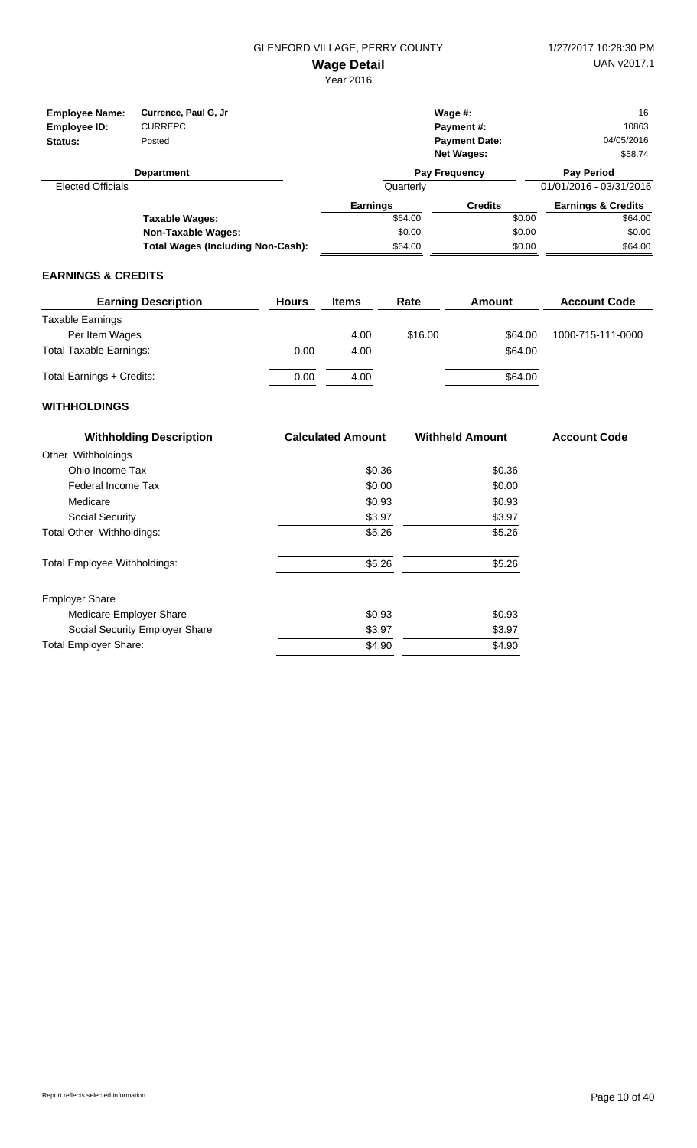| <b>Employee Name:</b><br>Employee ID:<br>Status: | Currence, Paul G, Jr<br><b>CURREPC</b><br>Posted |                 | Wage $#$ :<br>Payment #:<br><b>Payment Date:</b><br><b>Net Wages:</b> | 16<br>10863<br>04/05/2016<br>\$58.74 |
|--------------------------------------------------|--------------------------------------------------|-----------------|-----------------------------------------------------------------------|--------------------------------------|
|                                                  | <b>Department</b>                                |                 | <b>Pay Frequency</b>                                                  | <b>Pay Period</b>                    |
| <b>Elected Officials</b>                         |                                                  | Quarterly       |                                                                       | 01/01/2016 - 03/31/2016              |
|                                                  |                                                  | <b>Earnings</b> | <b>Credits</b>                                                        | <b>Earnings &amp; Credits</b>        |
|                                                  | Taxable Wages:                                   | \$64.00         | \$0.00                                                                | \$64.00                              |
|                                                  | <b>Non-Taxable Wages:</b>                        | \$0.00          | \$0.00                                                                | \$0.00                               |
|                                                  | <b>Total Wages (Including Non-Cash):</b>         | \$64.00         | \$0.00                                                                | \$64.00                              |

#### **EARNINGS & CREDITS**

| <b>Earning Description</b>     | <b>Hours</b> | <b>Items</b> | Rate    | Amount  | <b>Account Code</b> |
|--------------------------------|--------------|--------------|---------|---------|---------------------|
| Taxable Earnings               |              |              |         |         |                     |
| Per Item Wages                 |              | 4.00         | \$16.00 | \$64.00 | 1000-715-111-0000   |
| <b>Total Taxable Earnings:</b> | 0.00         | 4.00         |         | \$64.00 |                     |
| Total Earnings + Credits:      | 0.00         | 4.00         |         | \$64.00 |                     |

| <b>Withholding Description</b>      | <b>Calculated Amount</b> | <b>Withheld Amount</b> | <b>Account Code</b> |
|-------------------------------------|--------------------------|------------------------|---------------------|
| Other Withholdings                  |                          |                        |                     |
| Ohio Income Tax                     | \$0.36                   | \$0.36                 |                     |
| Federal Income Tax                  | \$0.00                   | \$0.00                 |                     |
| Medicare                            | \$0.93                   | \$0.93                 |                     |
| Social Security                     | \$3.97                   | \$3.97                 |                     |
| Total Other Withholdings:           | \$5.26                   | \$5.26                 |                     |
| <b>Total Employee Withholdings:</b> | \$5.26                   | \$5.26                 |                     |
| <b>Employer Share</b>               |                          |                        |                     |
| Medicare Employer Share             | \$0.93                   | \$0.93                 |                     |
| Social Security Employer Share      | \$3.97                   | \$3.97                 |                     |
| <b>Total Employer Share:</b>        | \$4.90                   | \$4.90                 |                     |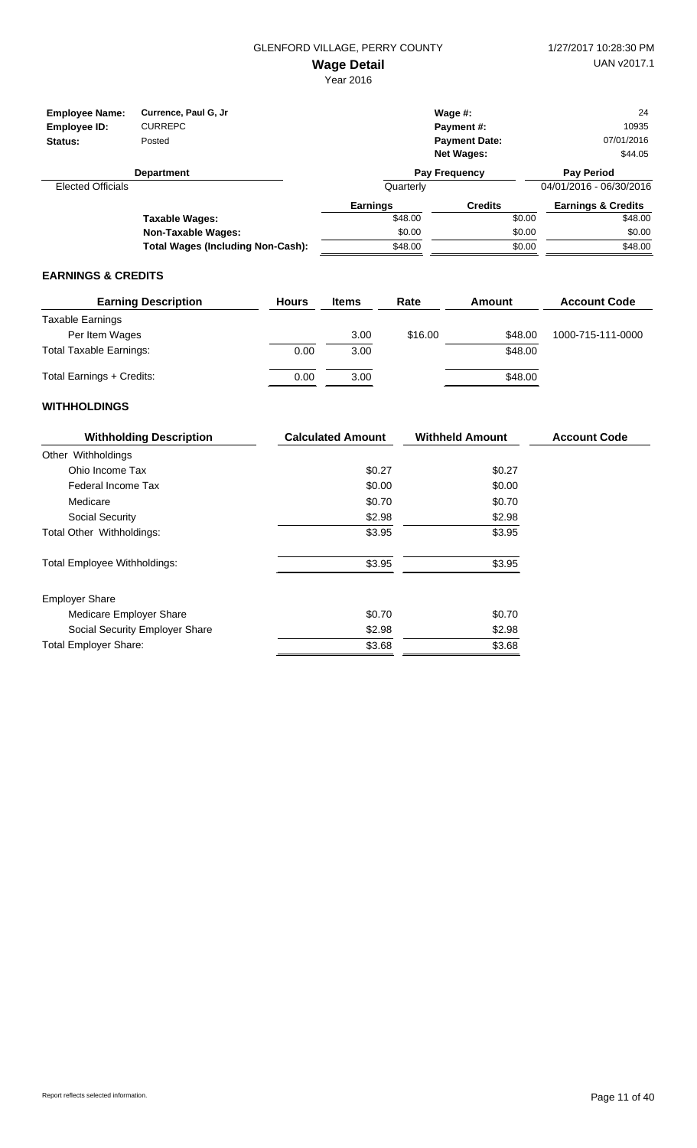Year 2016

| <b>Employee Name:</b>    | Currence, Paul G, Jr.                    |                 | Wage $#$ :           |        | 24                            |
|--------------------------|------------------------------------------|-----------------|----------------------|--------|-------------------------------|
| Employee ID:             | <b>CURREPC</b>                           |                 | Payment#:            |        | 10935                         |
| Status:                  | Posted                                   |                 | <b>Payment Date:</b> |        | 07/01/2016                    |
|                          |                                          |                 | <b>Net Wages:</b>    |        | \$44.05                       |
|                          | <b>Department</b>                        |                 | <b>Pay Frequency</b> |        | <b>Pay Period</b>             |
| <b>Elected Officials</b> |                                          | Quarterly       |                      |        | 04/01/2016 - 06/30/2016       |
|                          |                                          | <b>Earnings</b> | <b>Credits</b>       |        | <b>Earnings &amp; Credits</b> |
|                          | Taxable Wages:                           | \$48.00         |                      | \$0.00 | \$48.00                       |
|                          | <b>Non-Taxable Wages:</b>                | \$0.00          |                      | \$0.00 | \$0.00                        |
|                          | <b>Total Wages (Including Non-Cash):</b> | \$48.00         |                      | \$0.00 | \$48.00                       |

#### **EARNINGS & CREDITS**

| <b>Earning Description</b>     | <b>Hours</b> | <b>Items</b> | Rate    | Amount  | <b>Account Code</b> |
|--------------------------------|--------------|--------------|---------|---------|---------------------|
| Taxable Earnings               |              |              |         |         |                     |
| Per Item Wages                 |              | 3.00         | \$16.00 | \$48.00 | 1000-715-111-0000   |
| <b>Total Taxable Earnings:</b> | 0.00         | 3.00         |         | \$48.00 |                     |
| Total Earnings + Credits:      | 0.00         | 3.00         |         | \$48.00 |                     |

| <b>Withholding Description</b>      | <b>Calculated Amount</b> | <b>Withheld Amount</b> | <b>Account Code</b> |
|-------------------------------------|--------------------------|------------------------|---------------------|
| Other Withholdings                  |                          |                        |                     |
| Ohio Income Tax                     | \$0.27                   | \$0.27                 |                     |
| Federal Income Tax                  | \$0.00                   | \$0.00                 |                     |
| Medicare                            | \$0.70                   | \$0.70                 |                     |
| Social Security                     | \$2.98                   | \$2.98                 |                     |
| Total Other Withholdings:           | \$3.95                   | \$3.95                 |                     |
| <b>Total Employee Withholdings:</b> | \$3.95                   | \$3.95                 |                     |
| <b>Employer Share</b>               |                          |                        |                     |
| Medicare Employer Share             | \$0.70                   | \$0.70                 |                     |
| Social Security Employer Share      | \$2.98                   | \$2.98                 |                     |
| <b>Total Employer Share:</b>        | \$3.68                   | \$3.68                 |                     |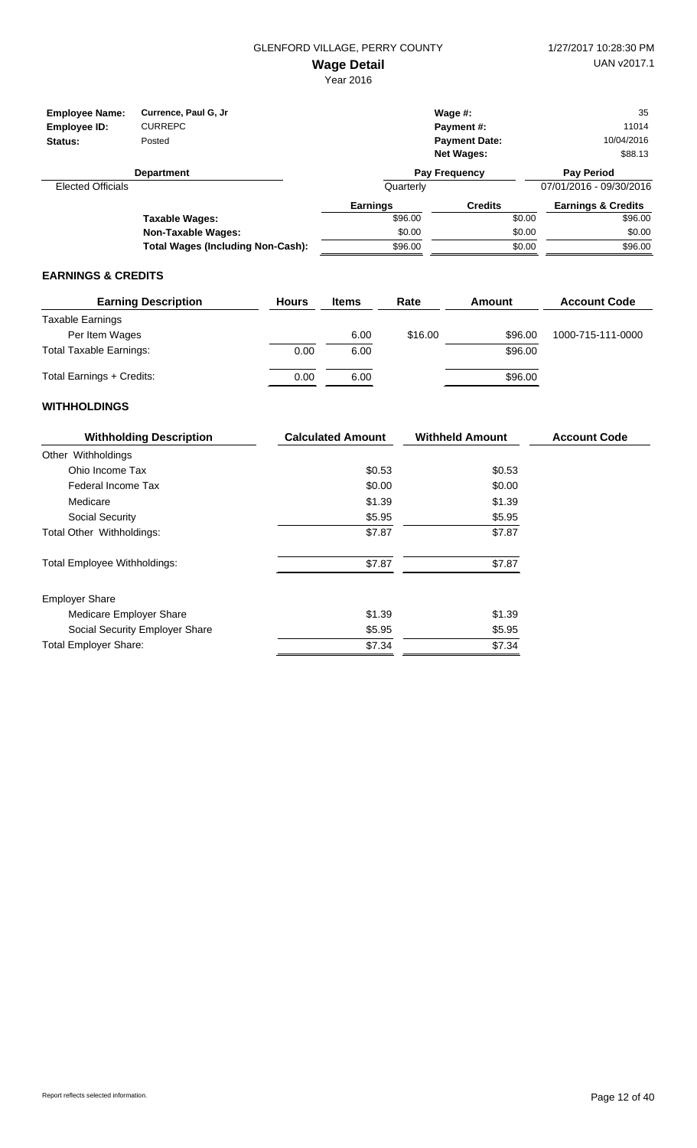| <b>Employee Name:</b><br>Employee ID:<br>Status: | Currence, Paul G, Jr<br><b>CURREPC</b><br>Posted |                 | Wage $#$ :<br><b>Payment #:</b><br><b>Payment Date:</b><br><b>Net Wages:</b> | 35<br>11014<br>10/04/2016<br>\$88.13 |  |
|--------------------------------------------------|--------------------------------------------------|-----------------|------------------------------------------------------------------------------|--------------------------------------|--|
|                                                  | <b>Department</b>                                |                 | Pay Frequency                                                                | <b>Pay Period</b>                    |  |
| <b>Elected Officials</b>                         |                                                  | Quarterly       |                                                                              | 07/01/2016 - 09/30/2016              |  |
|                                                  |                                                  | <b>Earnings</b> | <b>Credits</b>                                                               | <b>Earnings &amp; Credits</b>        |  |
|                                                  | Taxable Wages:                                   | \$96.00         | \$0.00                                                                       | \$96.00                              |  |
|                                                  | <b>Non-Taxable Wages:</b>                        | \$0.00          | \$0.00                                                                       | \$0.00                               |  |
|                                                  | <b>Total Wages (Including Non-Cash):</b>         | \$96.00         | \$0.00                                                                       | \$96.00                              |  |

#### **EARNINGS & CREDITS**

| <b>Earning Description</b>     | <b>Hours</b> | <b>Items</b> | Rate    | Amount  | <b>Account Code</b> |
|--------------------------------|--------------|--------------|---------|---------|---------------------|
| Taxable Earnings               |              |              |         |         |                     |
| Per Item Wages                 |              | 6.00         | \$16.00 | \$96.00 | 1000-715-111-0000   |
| <b>Total Taxable Earnings:</b> | 0.00         | 6.00         |         | \$96.00 |                     |
| Total Earnings + Credits:      | 0.00         | 6.00         |         | \$96.00 |                     |

| <b>Withholding Description</b>      | <b>Calculated Amount</b> | <b>Withheld Amount</b> | <b>Account Code</b> |
|-------------------------------------|--------------------------|------------------------|---------------------|
| Other Withholdings                  |                          |                        |                     |
| Ohio Income Tax                     | \$0.53                   | \$0.53                 |                     |
| Federal Income Tax                  | \$0.00                   | \$0.00                 |                     |
| Medicare                            | \$1.39                   | \$1.39                 |                     |
| Social Security                     | \$5.95                   | \$5.95                 |                     |
| Total Other Withholdings:           | \$7.87                   | \$7.87                 |                     |
| <b>Total Employee Withholdings:</b> | \$7.87                   | \$7.87                 |                     |
| <b>Employer Share</b>               |                          |                        |                     |
| Medicare Employer Share             | \$1.39                   | \$1.39                 |                     |
| Social Security Employer Share      | \$5.95                   | \$5.95                 |                     |
| <b>Total Employer Share:</b>        | \$7.34                   | \$7.34                 |                     |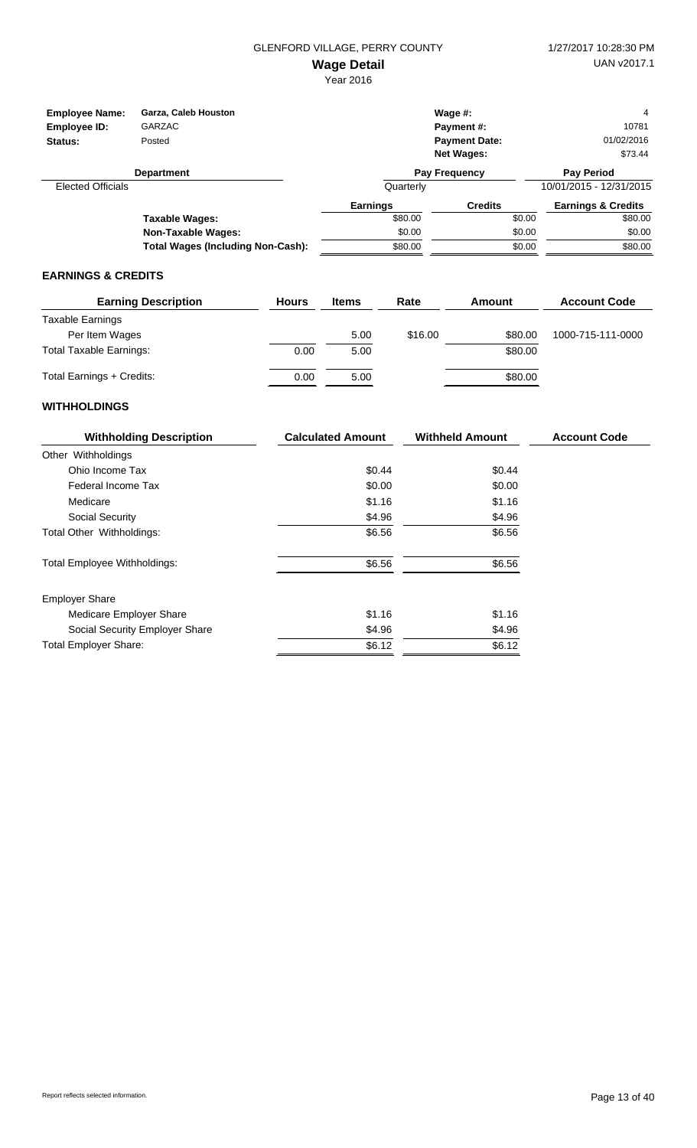Year 2016

| <b>Employee Name:</b><br>Employee ID:<br>Status: | Garza, Caleb Houston<br><b>GARZAC</b><br>Posted |                 | Wage $#$ :<br><b>Payment #:</b><br><b>Payment Date:</b><br><b>Net Wages:</b> |        | 4<br>10781<br>01/02/2016<br>\$73.44 |
|--------------------------------------------------|-------------------------------------------------|-----------------|------------------------------------------------------------------------------|--------|-------------------------------------|
|                                                  | <b>Department</b>                               |                 | Pay Frequency                                                                |        | <b>Pay Period</b>                   |
| <b>Elected Officials</b>                         |                                                 | Quarterly       |                                                                              |        | 10/01/2015 - 12/31/2015             |
|                                                  |                                                 | <b>Earnings</b> | <b>Credits</b>                                                               |        | <b>Earnings &amp; Credits</b>       |
|                                                  | Taxable Wages:                                  | \$80.00         |                                                                              | \$0.00 | \$80.00                             |
|                                                  | <b>Non-Taxable Wages:</b>                       | \$0.00          |                                                                              | \$0.00 | \$0.00                              |
|                                                  | <b>Total Wages (Including Non-Cash):</b>        | \$80.00         |                                                                              | \$0.00 | \$80.00                             |

#### **EARNINGS & CREDITS**

| <b>Earning Description</b>     | <b>Hours</b> | <b>Items</b> | Rate    | Amount  | <b>Account Code</b> |
|--------------------------------|--------------|--------------|---------|---------|---------------------|
| Taxable Earnings               |              |              |         |         |                     |
| Per Item Wages                 |              | 5.00         | \$16.00 | \$80.00 | 1000-715-111-0000   |
| <b>Total Taxable Earnings:</b> | 0.00         | 5.00         |         | \$80.00 |                     |
| Total Earnings + Credits:      | 0.00         | 5.00         |         | \$80.00 |                     |

| <b>Withholding Description</b>      | <b>Calculated Amount</b> | <b>Withheld Amount</b> | <b>Account Code</b> |
|-------------------------------------|--------------------------|------------------------|---------------------|
| Other Withholdings                  |                          |                        |                     |
| Ohio Income Tax                     | \$0.44                   | \$0.44                 |                     |
| Federal Income Tax                  | \$0.00                   | \$0.00                 |                     |
| Medicare                            | \$1.16                   | \$1.16                 |                     |
| Social Security                     | \$4.96                   | \$4.96                 |                     |
| Total Other Withholdings:           | \$6.56                   | \$6.56                 |                     |
| <b>Total Employee Withholdings:</b> | \$6.56                   | \$6.56                 |                     |
| <b>Employer Share</b>               |                          |                        |                     |
| Medicare Employer Share             | \$1.16                   | \$1.16                 |                     |
| Social Security Employer Share      | \$4.96                   | \$4.96                 |                     |
| <b>Total Employer Share:</b>        | \$6.12                   | \$6.12                 |                     |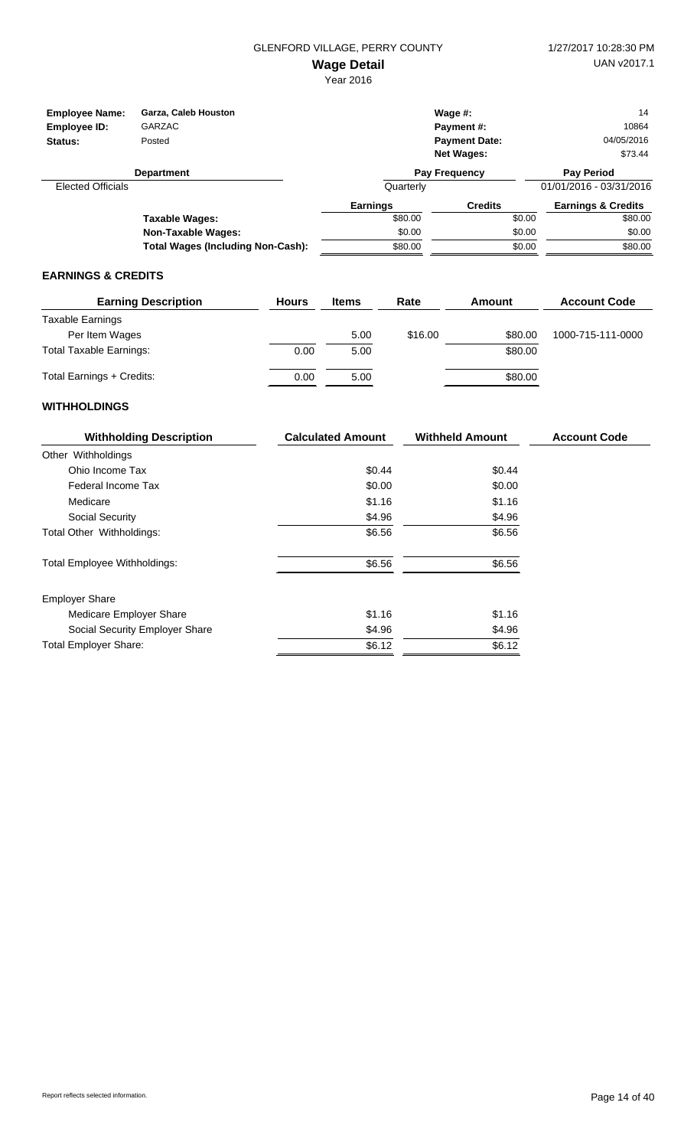Year 2016

| <b>Employee Name:</b><br>Employee ID:<br>Status: | Garza, Caleb Houston<br>GARZAC<br>Posted |                 | Wage $#$ :<br><b>Payment #:</b><br><b>Payment Date:</b><br><b>Net Wages:</b> | 14<br>10864<br>04/05/2016<br>\$73.44 |
|--------------------------------------------------|------------------------------------------|-----------------|------------------------------------------------------------------------------|--------------------------------------|
|                                                  | <b>Department</b>                        |                 | <b>Pay Frequency</b>                                                         | <b>Pay Period</b>                    |
| <b>Elected Officials</b>                         |                                          | Quarterly       |                                                                              | 01/01/2016 - 03/31/2016              |
|                                                  |                                          | <b>Earnings</b> | <b>Credits</b>                                                               | <b>Earnings &amp; Credits</b>        |
|                                                  | Taxable Wages:                           | \$80.00         |                                                                              | \$80.00<br>\$0.00                    |
|                                                  | Non-Taxable Wages:                       | \$0.00          |                                                                              | \$0.00<br>\$0.00                     |
|                                                  | Total Wages (Including Non-Cash):        | \$80.00         |                                                                              | \$80.00<br>\$0.00                    |

## **EARNINGS & CREDITS**

| <b>Earning Description</b>     | <b>Hours</b> | <b>Items</b> | Rate    | Amount  | <b>Account Code</b> |
|--------------------------------|--------------|--------------|---------|---------|---------------------|
| Taxable Earnings               |              |              |         |         |                     |
| Per Item Wages                 |              | 5.00         | \$16.00 | \$80.00 | 1000-715-111-0000   |
| <b>Total Taxable Earnings:</b> | 0.00         | 5.00         |         | \$80.00 |                     |
| Total Earnings + Credits:      | 0.00         | 5.00         |         | \$80.00 |                     |

| <b>Withholding Description</b>      | <b>Calculated Amount</b> | <b>Withheld Amount</b> | <b>Account Code</b> |
|-------------------------------------|--------------------------|------------------------|---------------------|
| Other Withholdings                  |                          |                        |                     |
| Ohio Income Tax                     | \$0.44                   | \$0.44                 |                     |
| Federal Income Tax                  | \$0.00                   | \$0.00                 |                     |
| Medicare                            | \$1.16                   | \$1.16                 |                     |
| Social Security                     | \$4.96                   | \$4.96                 |                     |
| Total Other Withholdings:           | \$6.56                   | \$6.56                 |                     |
| <b>Total Employee Withholdings:</b> | \$6.56                   | \$6.56                 |                     |
| <b>Employer Share</b>               |                          |                        |                     |
| Medicare Employer Share             | \$1.16                   | \$1.16                 |                     |
| Social Security Employer Share      | \$4.96                   | \$4.96                 |                     |
| <b>Total Employer Share:</b>        | \$6.12                   | \$6.12                 |                     |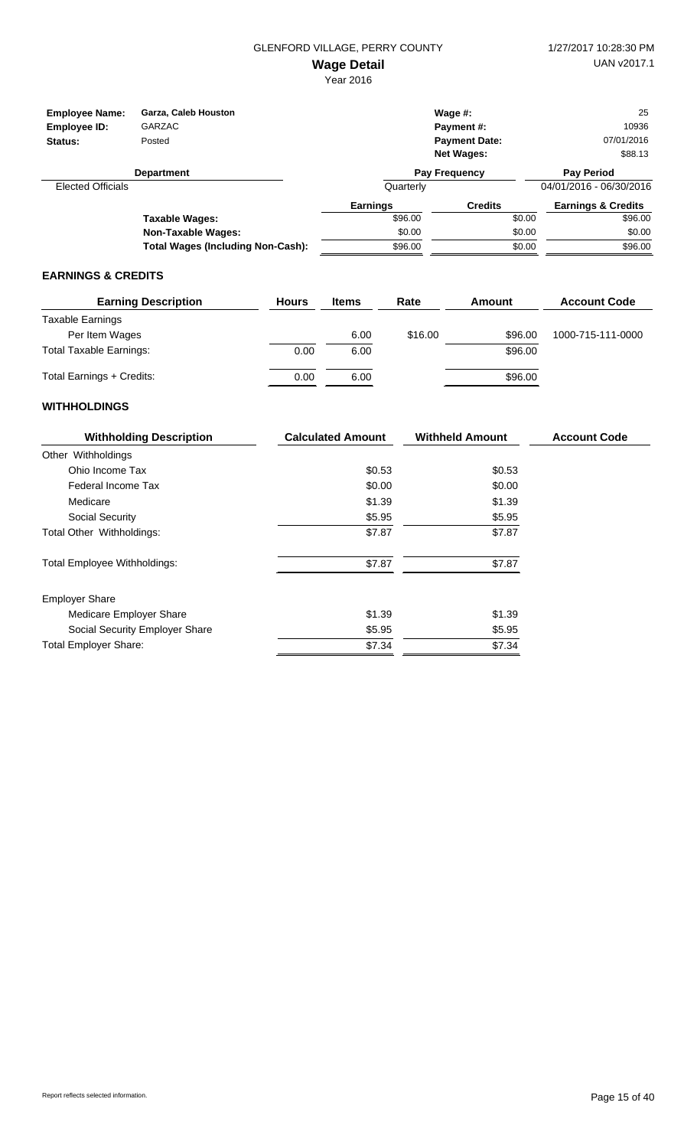| <b>Employee Name:</b>    | Garza, Caleb Houston                     |                 | Wage $#$ :           |        | 25                            |
|--------------------------|------------------------------------------|-----------------|----------------------|--------|-------------------------------|
| Employee ID:             | <b>GARZAC</b>                            |                 | <b>Payment #:</b>    |        | 10936                         |
| Status:                  | Posted                                   |                 | <b>Payment Date:</b> |        | 07/01/2016                    |
|                          |                                          |                 | <b>Net Wages:</b>    |        | \$88.13                       |
|                          | <b>Department</b>                        |                 | Pay Frequency        |        | <b>Pay Period</b>             |
| <b>Elected Officials</b> |                                          | Quarterly       |                      |        | 04/01/2016 - 06/30/2016       |
|                          |                                          | <b>Earnings</b> | <b>Credits</b>       |        | <b>Earnings &amp; Credits</b> |
|                          | Taxable Wages:                           | \$96.00         |                      | \$0.00 | \$96.00                       |
|                          | <b>Non-Taxable Wages:</b>                | \$0.00          |                      | \$0.00 | \$0.00                        |
|                          | <b>Total Wages (Including Non-Cash):</b> | \$96.00         |                      | \$0.00 | \$96.00                       |

#### **EARNINGS & CREDITS**

| <b>Earning Description</b>     | <b>Hours</b> | <b>Items</b> | Rate    | Amount  | <b>Account Code</b> |
|--------------------------------|--------------|--------------|---------|---------|---------------------|
| Taxable Earnings               |              |              |         |         |                     |
| Per Item Wages                 |              | 6.00         | \$16.00 | \$96.00 | 1000-715-111-0000   |
| <b>Total Taxable Earnings:</b> | 0.00         | 6.00         |         | \$96.00 |                     |
| Total Earnings + Credits:      | 0.00         | 6.00         |         | \$96.00 |                     |

| <b>Withholding Description</b>      | <b>Calculated Amount</b> | <b>Withheld Amount</b> | <b>Account Code</b> |
|-------------------------------------|--------------------------|------------------------|---------------------|
| Other Withholdings                  |                          |                        |                     |
| Ohio Income Tax                     | \$0.53                   | \$0.53                 |                     |
| Federal Income Tax                  | \$0.00                   | \$0.00                 |                     |
| Medicare                            | \$1.39                   | \$1.39                 |                     |
| Social Security                     | \$5.95                   | \$5.95                 |                     |
| Total Other Withholdings:           | \$7.87                   | \$7.87                 |                     |
| <b>Total Employee Withholdings:</b> | \$7.87                   | \$7.87                 |                     |
| <b>Employer Share</b>               |                          |                        |                     |
| Medicare Employer Share             | \$1.39                   | \$1.39                 |                     |
| Social Security Employer Share      | \$5.95                   | \$5.95                 |                     |
| <b>Total Employer Share:</b>        | \$7.34                   | \$7.34                 |                     |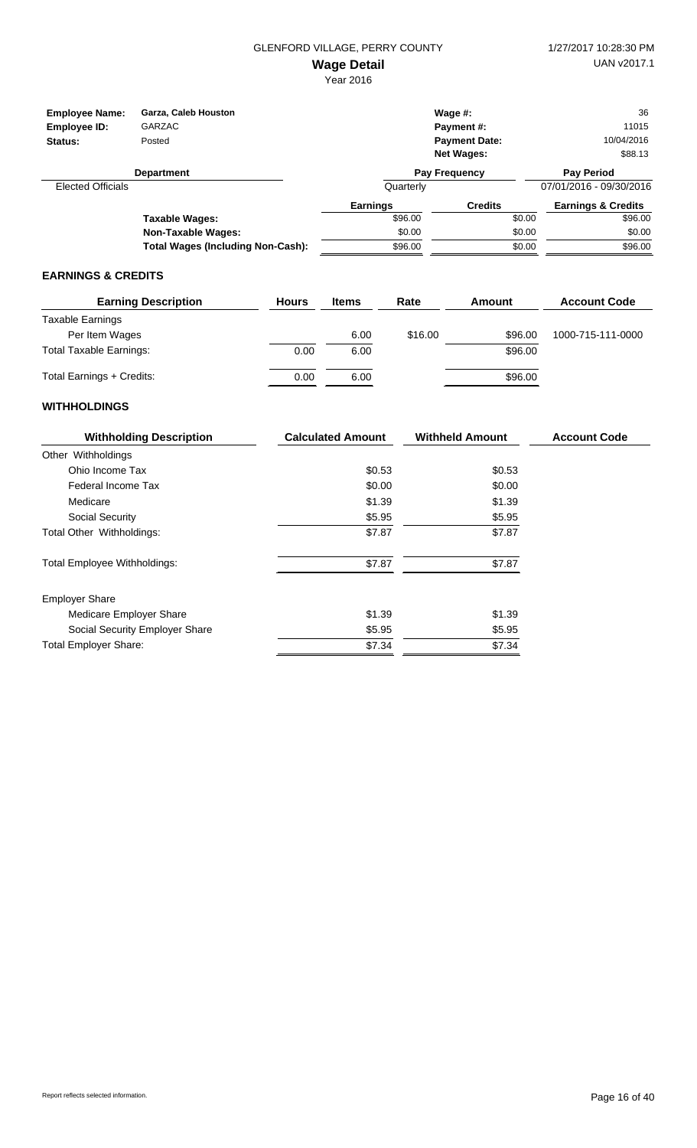| <b>Employee Name:</b>    | Garza, Caleb Houston<br><b>GARZAC</b>    |                 | Wage $#$ :           |        | 36<br>11015                   |
|--------------------------|------------------------------------------|-----------------|----------------------|--------|-------------------------------|
| Employee ID:             |                                          |                 | <b>Payment #:</b>    |        |                               |
| Status:                  | Posted                                   |                 | <b>Payment Date:</b> |        | 10/04/2016                    |
|                          |                                          |                 | <b>Net Wages:</b>    |        | \$88.13                       |
|                          | <b>Department</b>                        |                 | Pay Frequency        |        | <b>Pay Period</b>             |
| <b>Elected Officials</b> |                                          | Quarterly       |                      |        | 07/01/2016 - 09/30/2016       |
|                          |                                          | <b>Earnings</b> | <b>Credits</b>       |        | <b>Earnings &amp; Credits</b> |
|                          | Taxable Wages:                           | \$96.00         |                      | \$0.00 | \$96.00                       |
|                          | <b>Non-Taxable Wages:</b>                | \$0.00          |                      | \$0.00 | \$0.00                        |
|                          | <b>Total Wages (Including Non-Cash):</b> | \$96.00         |                      | \$0.00 | \$96.00                       |

#### **EARNINGS & CREDITS**

| <b>Earning Description</b>     | <b>Hours</b> | <b>Items</b> | Rate    | Amount  | <b>Account Code</b> |
|--------------------------------|--------------|--------------|---------|---------|---------------------|
| Taxable Earnings               |              |              |         |         |                     |
| Per Item Wages                 |              | 6.00         | \$16.00 | \$96.00 | 1000-715-111-0000   |
| <b>Total Taxable Earnings:</b> | 0.00         | 6.00         |         | \$96.00 |                     |
| Total Earnings + Credits:      | 0.00         | 6.00         |         | \$96.00 |                     |

| <b>Withholding Description</b>      | <b>Calculated Amount</b> | <b>Withheld Amount</b> | <b>Account Code</b> |
|-------------------------------------|--------------------------|------------------------|---------------------|
| Other Withholdings                  |                          |                        |                     |
| Ohio Income Tax                     | \$0.53                   | \$0.53                 |                     |
| Federal Income Tax                  | \$0.00                   | \$0.00                 |                     |
| Medicare                            | \$1.39                   | \$1.39                 |                     |
| Social Security                     | \$5.95                   | \$5.95                 |                     |
| Total Other Withholdings:           | \$7.87                   | \$7.87                 |                     |
| <b>Total Employee Withholdings:</b> | \$7.87                   | \$7.87                 |                     |
| <b>Employer Share</b>               |                          |                        |                     |
| Medicare Employer Share             | \$1.39                   | \$1.39                 |                     |
| Social Security Employer Share      | \$5.95                   | \$5.95                 |                     |
| <b>Total Employer Share:</b>        | \$7.34                   | \$7.34                 |                     |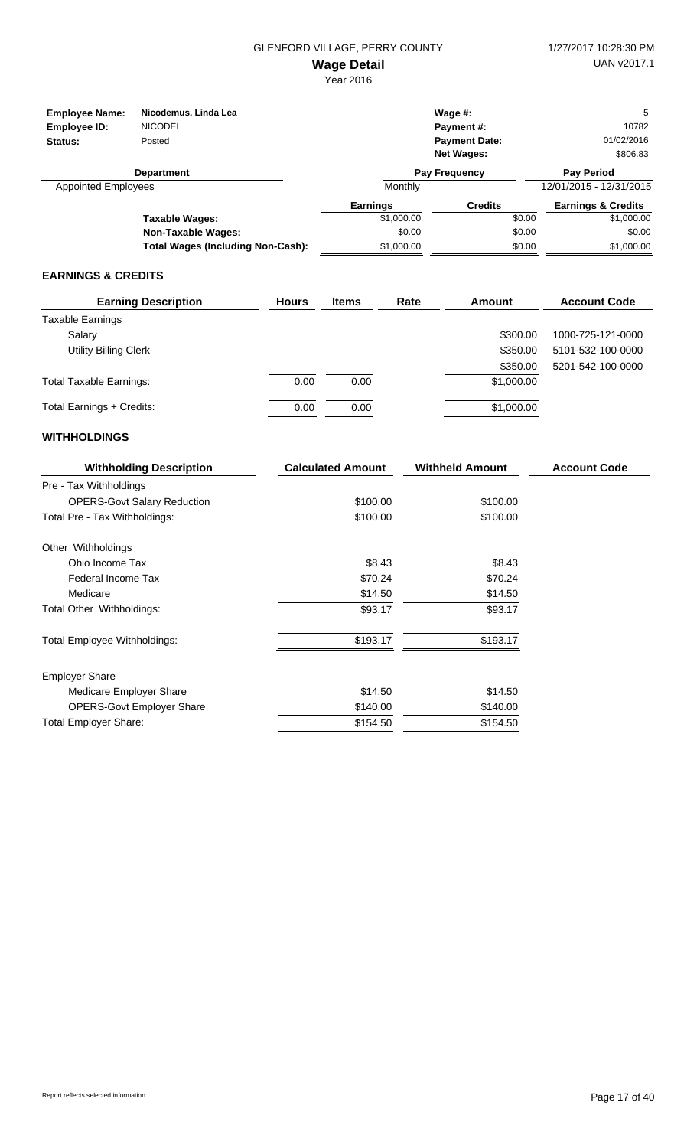| <b>Employee Name:</b>      | Nicodemus, Linda Lea                     |                 | Wage $#$ :           | 5                             |
|----------------------------|------------------------------------------|-----------------|----------------------|-------------------------------|
| Employee ID:               | <b>NICODEL</b>                           |                 | <b>Payment #:</b>    | 10782                         |
| Status:                    | Posted                                   |                 | <b>Payment Date:</b> | 01/02/2016                    |
|                            |                                          |                 | <b>Net Wages:</b>    | \$806.83                      |
|                            | <b>Department</b>                        |                 | <b>Pay Frequency</b> | <b>Pay Period</b>             |
| <b>Appointed Employees</b> |                                          | Monthly         |                      | 12/01/2015 - 12/31/2015       |
|                            |                                          | <b>Earnings</b> | <b>Credits</b>       | <b>Earnings &amp; Credits</b> |
|                            | Taxable Wages:                           | \$1,000.00      | \$0.00               | \$1,000.00                    |
|                            | <b>Non-Taxable Wages:</b>                | \$0.00          | \$0.00               | \$0.00                        |
|                            | <b>Total Wages (Including Non-Cash):</b> | \$1,000.00      | \$0.00               | \$1,000.00                    |

#### **EARNINGS & CREDITS**

| <b>Earning Description</b>     | <b>Hours</b> | <b>Items</b> | Rate | Amount     | <b>Account Code</b> |
|--------------------------------|--------------|--------------|------|------------|---------------------|
| <b>Taxable Earnings</b>        |              |              |      |            |                     |
| Salary                         |              |              |      | \$300.00   | 1000-725-121-0000   |
| <b>Utility Billing Clerk</b>   |              |              |      | \$350.00   | 5101-532-100-0000   |
|                                |              |              |      | \$350.00   | 5201-542-100-0000   |
| <b>Total Taxable Earnings:</b> | 0.00         | 0.00         |      | \$1,000.00 |                     |
| Total Earnings + Credits:      | 0.00         | 0.00         |      | \$1,000.00 |                     |

| <b>Withholding Description</b>     | <b>Calculated Amount</b> | <b>Withheld Amount</b> | <b>Account Code</b> |
|------------------------------------|--------------------------|------------------------|---------------------|
| Pre - Tax Withholdings             |                          |                        |                     |
| <b>OPERS-Govt Salary Reduction</b> | \$100.00                 | \$100.00               |                     |
| Total Pre - Tax Withholdings:      | \$100.00                 | \$100.00               |                     |
| Other Withholdings                 |                          |                        |                     |
| Ohio Income Tax                    | \$8.43                   | \$8.43                 |                     |
| Federal Income Tax                 | \$70.24                  | \$70.24                |                     |
| Medicare                           | \$14.50                  | \$14.50                |                     |
| Total Other Withholdings:          | \$93.17                  | \$93.17                |                     |
| Total Employee Withholdings:       | \$193.17                 | \$193.17               |                     |
| <b>Employer Share</b>              |                          |                        |                     |
| Medicare Employer Share            | \$14.50                  | \$14.50                |                     |
| <b>OPERS-Govt Employer Share</b>   | \$140.00                 | \$140.00               |                     |
| <b>Total Employer Share:</b>       | \$154.50                 | \$154.50               |                     |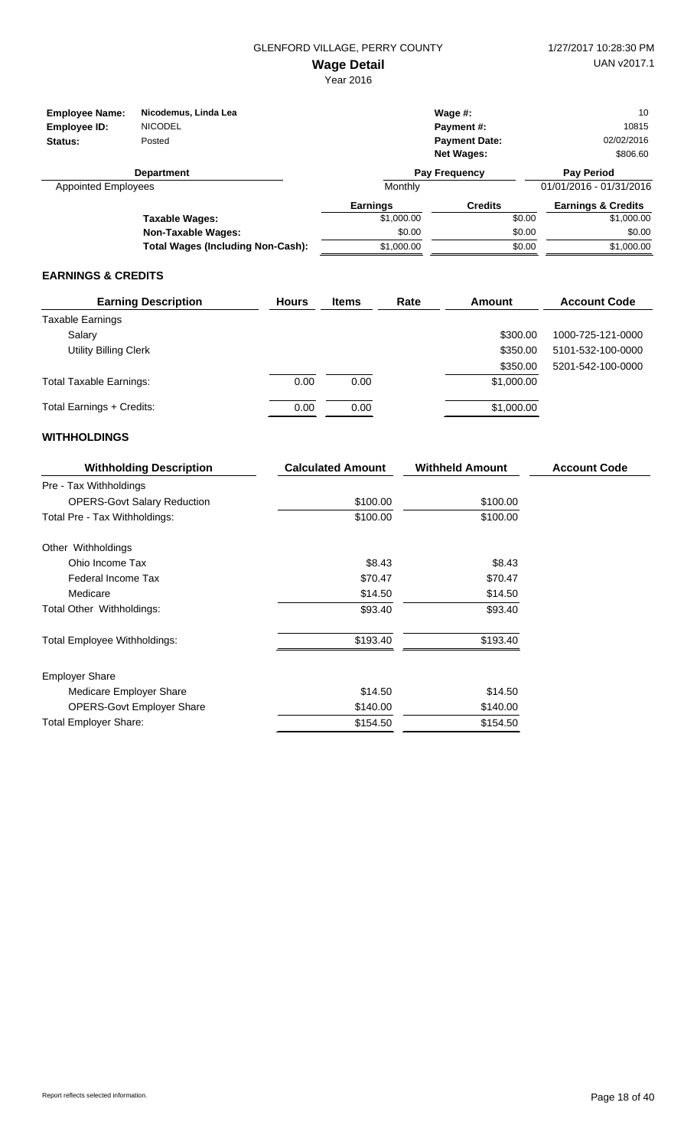| <b>Employee Name:</b><br>Employee ID:<br>Status: | Nicodemus, Linda Lea<br><b>NICODEL</b><br>Posted |                 | Wage $#$ :<br>Payment#:<br><b>Payment Date:</b><br><b>Net Wages:</b> | 10<br>10815<br>02/02/2016<br>\$806.60 |
|--------------------------------------------------|--------------------------------------------------|-----------------|----------------------------------------------------------------------|---------------------------------------|
|                                                  | <b>Department</b>                                |                 | Pay Frequency                                                        | <b>Pay Period</b>                     |
| <b>Appointed Employees</b>                       |                                                  | Monthly         |                                                                      | 01/01/2016 - 01/31/2016               |
|                                                  |                                                  | <b>Earnings</b> | <b>Credits</b>                                                       | <b>Earnings &amp; Credits</b>         |
|                                                  | Taxable Wages:                                   | \$1,000.00      | \$0.00                                                               | \$1,000.00                            |
|                                                  | <b>Non-Taxable Wages:</b>                        | \$0.00          | \$0.00                                                               | \$0.00                                |
|                                                  | <b>Total Wages (Including Non-Cash):</b>         | \$1,000.00      | \$0.00                                                               | \$1,000.00                            |

#### **EARNINGS & CREDITS**

| <b>Earning Description</b>     | <b>Hours</b> | <b>Items</b> | Rate | Amount     | <b>Account Code</b> |
|--------------------------------|--------------|--------------|------|------------|---------------------|
| <b>Taxable Earnings</b>        |              |              |      |            |                     |
| Salary                         |              |              |      | \$300.00   | 1000-725-121-0000   |
| <b>Utility Billing Clerk</b>   |              |              |      | \$350.00   | 5101-532-100-0000   |
|                                |              |              |      | \$350.00   | 5201-542-100-0000   |
| <b>Total Taxable Earnings:</b> | 0.00         | 0.00         |      | \$1,000.00 |                     |
| Total Earnings + Credits:      | 0.00         | 0.00         |      | \$1,000.00 |                     |

| <b>Withholding Description</b>     | <b>Calculated Amount</b> | <b>Withheld Amount</b> | <b>Account Code</b> |
|------------------------------------|--------------------------|------------------------|---------------------|
| Pre - Tax Withholdings             |                          |                        |                     |
| <b>OPERS-Govt Salary Reduction</b> | \$100.00                 | \$100.00               |                     |
| Total Pre - Tax Withholdings:      | \$100.00                 | \$100.00               |                     |
| Other Withholdings                 |                          |                        |                     |
| Ohio Income Tax                    | \$8.43                   | \$8.43                 |                     |
| Federal Income Tax                 | \$70.47                  | \$70.47                |                     |
| Medicare                           | \$14.50                  | \$14.50                |                     |
| Total Other Withholdings:          | \$93.40                  | \$93.40                |                     |
| Total Employee Withholdings:       | \$193.40                 | \$193.40               |                     |
| <b>Employer Share</b>              |                          |                        |                     |
| Medicare Employer Share            | \$14.50                  | \$14.50                |                     |
| <b>OPERS-Govt Employer Share</b>   | \$140.00                 | \$140.00               |                     |
| <b>Total Employer Share:</b>       | \$154.50                 | \$154.50               |                     |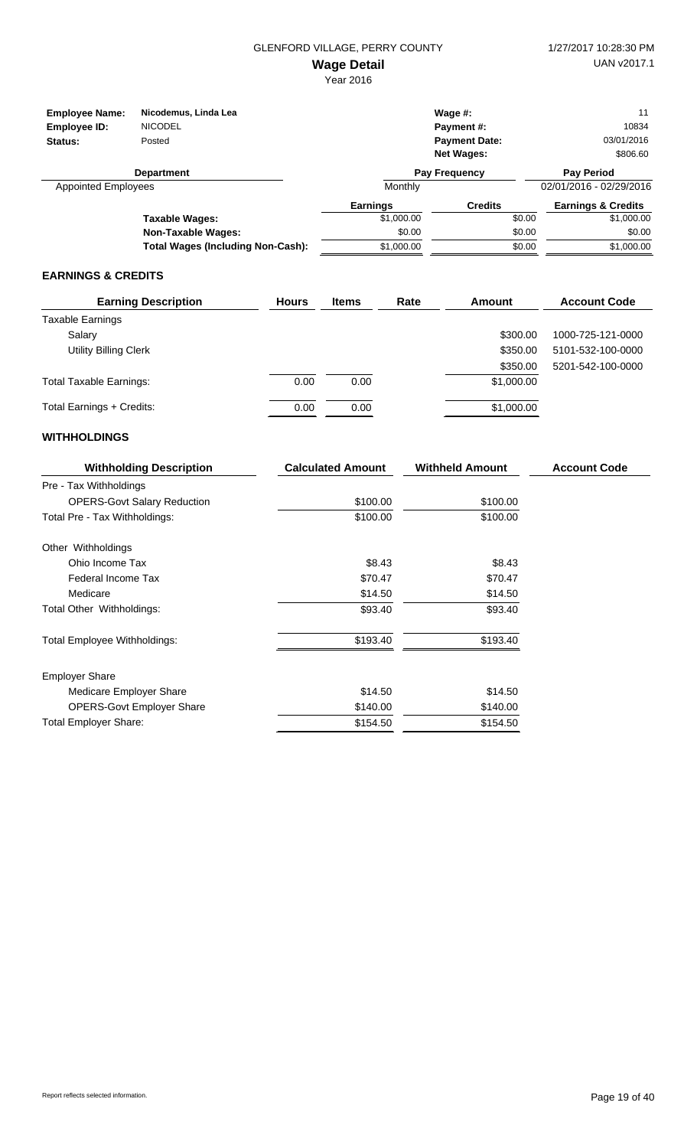| <b>Employee Name:</b><br>Employee ID:<br>Status: | Nicodemus, Linda Lea<br><b>NICODEL</b><br>Posted |                 | Wage $#$ :<br>Payment#:<br><b>Payment Date:</b><br><b>Net Wages:</b> | 11<br>10834<br>03/01/2016<br>\$806.60 |
|--------------------------------------------------|--------------------------------------------------|-----------------|----------------------------------------------------------------------|---------------------------------------|
|                                                  | <b>Department</b>                                |                 | <b>Pay Frequency</b>                                                 | <b>Pay Period</b>                     |
| <b>Appointed Employees</b>                       |                                                  | Monthly         |                                                                      | 02/01/2016 - 02/29/2016               |
|                                                  |                                                  | <b>Earnings</b> | <b>Credits</b>                                                       | <b>Earnings &amp; Credits</b>         |
|                                                  | Taxable Wages:                                   | \$1,000.00      | \$0.00                                                               | \$1,000.00                            |
|                                                  | <b>Non-Taxable Wages:</b>                        | \$0.00          | \$0.00                                                               | \$0.00                                |
|                                                  | <b>Total Wages (Including Non-Cash):</b>         | \$1,000.00      | \$0.00                                                               | \$1,000.00                            |

#### **EARNINGS & CREDITS**

| <b>Earning Description</b>     | <b>Hours</b> | <b>Items</b> | Rate | Amount     | <b>Account Code</b> |
|--------------------------------|--------------|--------------|------|------------|---------------------|
| <b>Taxable Earnings</b>        |              |              |      |            |                     |
| Salary                         |              |              |      | \$300.00   | 1000-725-121-0000   |
| <b>Utility Billing Clerk</b>   |              |              |      | \$350.00   | 5101-532-100-0000   |
|                                |              |              |      | \$350.00   | 5201-542-100-0000   |
| <b>Total Taxable Earnings:</b> | 0.00         | 0.00         |      | \$1,000.00 |                     |
| Total Earnings + Credits:      | 0.00         | 0.00         |      | \$1,000.00 |                     |

| <b>Withholding Description</b>     | <b>Calculated Amount</b> | <b>Withheld Amount</b> | <b>Account Code</b> |
|------------------------------------|--------------------------|------------------------|---------------------|
| Pre - Tax Withholdings             |                          |                        |                     |
| <b>OPERS-Govt Salary Reduction</b> | \$100.00                 | \$100.00               |                     |
| Total Pre - Tax Withholdings:      | \$100.00                 | \$100.00               |                     |
| Other Withholdings                 |                          |                        |                     |
| Ohio Income Tax                    | \$8.43                   | \$8.43                 |                     |
| Federal Income Tax                 | \$70.47                  | \$70.47                |                     |
| Medicare                           | \$14.50                  | \$14.50                |                     |
| Total Other Withholdings:          | \$93.40                  | \$93.40                |                     |
| Total Employee Withholdings:       | \$193.40                 | \$193.40               |                     |
| <b>Employer Share</b>              |                          |                        |                     |
| Medicare Employer Share            | \$14.50                  | \$14.50                |                     |
| <b>OPERS-Govt Employer Share</b>   | \$140.00                 | \$140.00               |                     |
| <b>Total Employer Share:</b>       | \$154.50                 | \$154.50               |                     |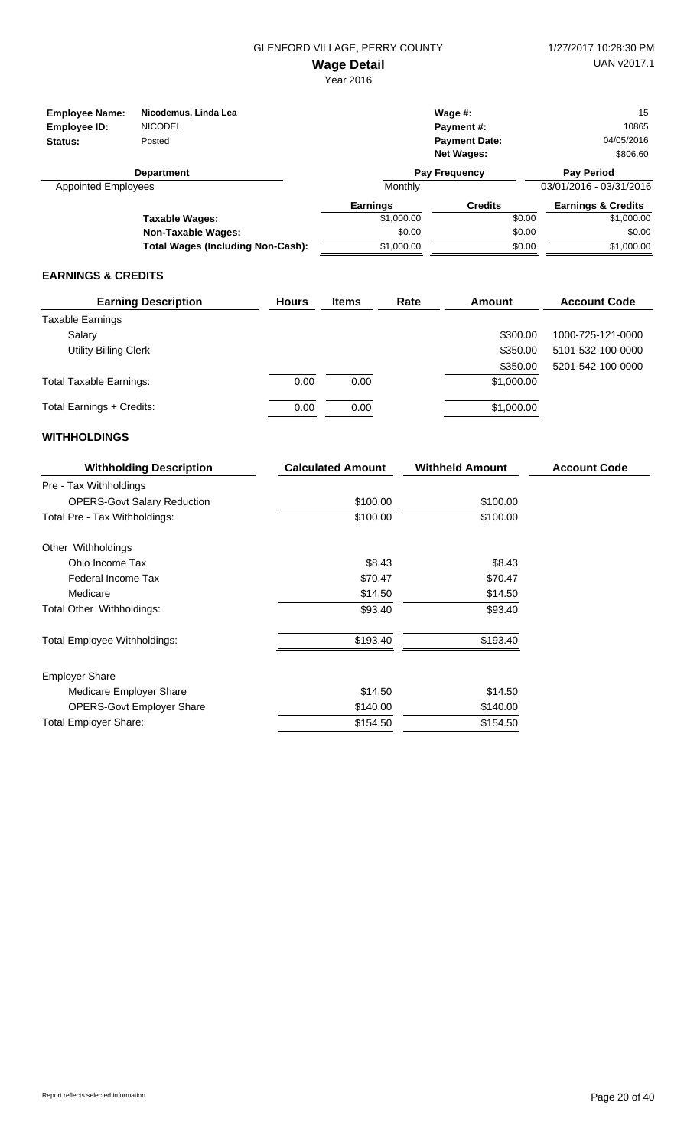| <b>Employee Name:</b><br>Employee ID:<br>Status: | Nicodemus, Linda Lea<br><b>NICODEL</b><br>Posted |                 | Wage $#$ :<br>Payment#:<br><b>Payment Date:</b><br><b>Net Wages:</b> | 15<br>10865<br>04/05/2016<br>\$806.60 |
|--------------------------------------------------|--------------------------------------------------|-----------------|----------------------------------------------------------------------|---------------------------------------|
|                                                  | <b>Department</b>                                |                 | Pay Frequency                                                        | <b>Pay Period</b>                     |
| <b>Appointed Employees</b>                       |                                                  | Monthly         |                                                                      | 03/01/2016 - 03/31/2016               |
|                                                  |                                                  | <b>Earnings</b> | <b>Credits</b>                                                       | <b>Earnings &amp; Credits</b>         |
|                                                  | Taxable Wages:                                   | \$1,000.00      | \$0.00                                                               | \$1,000.00                            |
|                                                  | <b>Non-Taxable Wages:</b>                        | \$0.00          | \$0.00                                                               | \$0.00                                |
|                                                  | <b>Total Wages (Including Non-Cash):</b>         | \$1,000.00      | \$0.00                                                               | \$1,000.00                            |

#### **EARNINGS & CREDITS**

| <b>Earning Description</b>     | <b>Hours</b> | <b>Items</b> | Rate | Amount     | <b>Account Code</b> |
|--------------------------------|--------------|--------------|------|------------|---------------------|
| <b>Taxable Earnings</b>        |              |              |      |            |                     |
| Salary                         |              |              |      | \$300.00   | 1000-725-121-0000   |
| <b>Utility Billing Clerk</b>   |              |              |      | \$350.00   | 5101-532-100-0000   |
|                                |              |              |      | \$350.00   | 5201-542-100-0000   |
| <b>Total Taxable Earnings:</b> | 0.00         | 0.00         |      | \$1,000.00 |                     |
| Total Earnings + Credits:      | 0.00         | 0.00         |      | \$1,000.00 |                     |

| <b>Withholding Description</b>     | <b>Calculated Amount</b> | <b>Withheld Amount</b> | <b>Account Code</b> |
|------------------------------------|--------------------------|------------------------|---------------------|
| Pre - Tax Withholdings             |                          |                        |                     |
| <b>OPERS-Govt Salary Reduction</b> | \$100.00                 | \$100.00               |                     |
| Total Pre - Tax Withholdings:      | \$100.00                 | \$100.00               |                     |
| Other Withholdings                 |                          |                        |                     |
| Ohio Income Tax                    | \$8.43                   | \$8.43                 |                     |
| Federal Income Tax                 | \$70.47                  | \$70.47                |                     |
| Medicare                           | \$14.50                  | \$14.50                |                     |
| Total Other Withholdings:          | \$93.40                  | \$93.40                |                     |
| Total Employee Withholdings:       | \$193.40                 | \$193.40               |                     |
| <b>Employer Share</b>              |                          |                        |                     |
| Medicare Employer Share            | \$14.50                  | \$14.50                |                     |
| <b>OPERS-Govt Employer Share</b>   | \$140.00                 | \$140.00               |                     |
| <b>Total Employer Share:</b>       | \$154.50                 | \$154.50               |                     |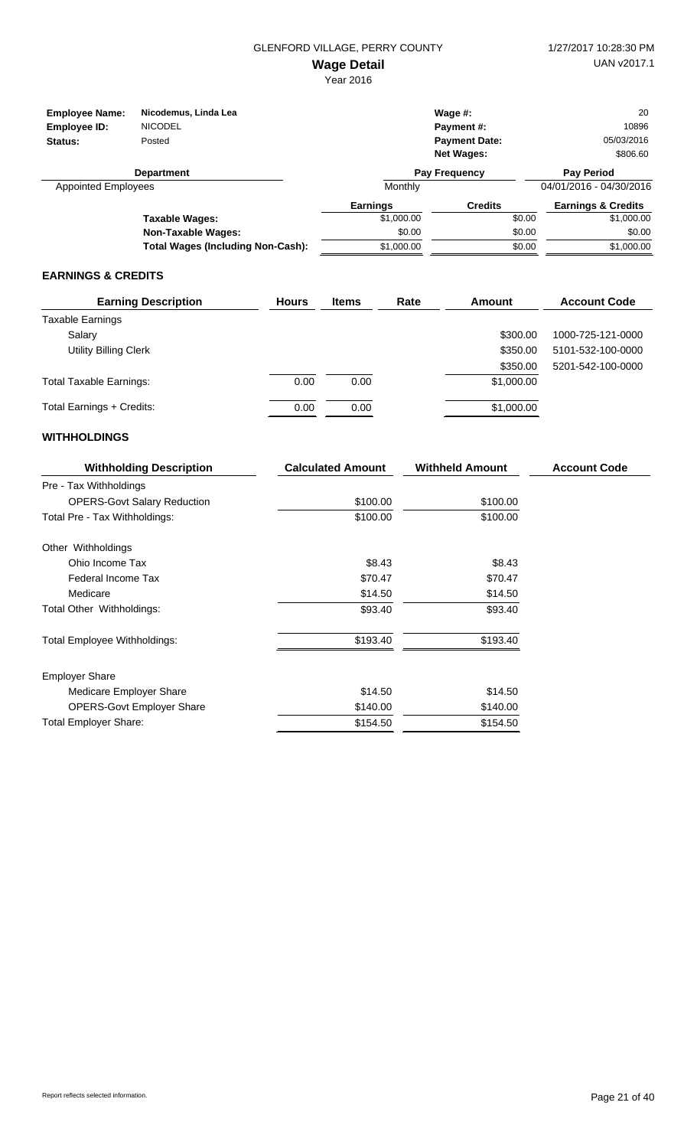| <b>Employee Name:</b><br>Employee ID:<br>Status: | Nicodemus, Linda Lea<br><b>NICODEL</b><br>Posted |                          | Wage $#$ :<br>Payment#:<br><b>Payment Date:</b><br><b>Net Wages:</b> | 20<br>10896<br>05/03/2016<br>\$806.60        |  |
|--------------------------------------------------|--------------------------------------------------|--------------------------|----------------------------------------------------------------------|----------------------------------------------|--|
| <b>Department</b><br><b>Appointed Employees</b>  |                                                  | Pay Frequency<br>Monthly |                                                                      | <b>Pay Period</b><br>04/01/2016 - 04/30/2016 |  |
|                                                  |                                                  | <b>Earnings</b>          | <b>Credits</b>                                                       | <b>Earnings &amp; Credits</b>                |  |
|                                                  | Taxable Wages:                                   | \$1,000.00               | \$0.00                                                               | \$1,000.00                                   |  |
|                                                  | <b>Non-Taxable Wages:</b>                        | \$0.00                   | \$0.00                                                               | \$0.00                                       |  |
|                                                  | <b>Total Wages (Including Non-Cash):</b>         | \$1,000.00               | \$0.00                                                               | \$1,000.00                                   |  |

#### **EARNINGS & CREDITS**

| <b>Earning Description</b>     | <b>Hours</b> | <b>Items</b> | Rate | Amount     | <b>Account Code</b> |
|--------------------------------|--------------|--------------|------|------------|---------------------|
| Taxable Earnings               |              |              |      |            |                     |
| Salary                         |              |              |      | \$300.00   | 1000-725-121-0000   |
| <b>Utility Billing Clerk</b>   |              |              |      | \$350.00   | 5101-532-100-0000   |
|                                |              |              |      | \$350.00   | 5201-542-100-0000   |
| <b>Total Taxable Earnings:</b> | 0.00         | 0.00         |      | \$1,000.00 |                     |
| Total Earnings + Credits:      | 0.00         | 0.00         |      | \$1,000.00 |                     |

| <b>Withholding Description</b>     | <b>Calculated Amount</b> | <b>Withheld Amount</b> | <b>Account Code</b> |
|------------------------------------|--------------------------|------------------------|---------------------|
| Pre - Tax Withholdings             |                          |                        |                     |
| <b>OPERS-Govt Salary Reduction</b> | \$100.00                 | \$100.00               |                     |
| Total Pre - Tax Withholdings:      | \$100.00                 | \$100.00               |                     |
| Other Withholdings                 |                          |                        |                     |
| Ohio Income Tax                    | \$8.43                   | \$8.43                 |                     |
| Federal Income Tax                 | \$70.47                  | \$70.47                |                     |
| Medicare                           | \$14.50                  | \$14.50                |                     |
| Total Other Withholdings:          | \$93.40                  | \$93.40                |                     |
| Total Employee Withholdings:       | \$193.40                 | \$193.40               |                     |
| <b>Employer Share</b>              |                          |                        |                     |
| Medicare Employer Share            | \$14.50                  | \$14.50                |                     |
| <b>OPERS-Govt Employer Share</b>   | \$140.00                 | \$140.00               |                     |
| <b>Total Employer Share:</b>       | \$154.50                 | \$154.50               |                     |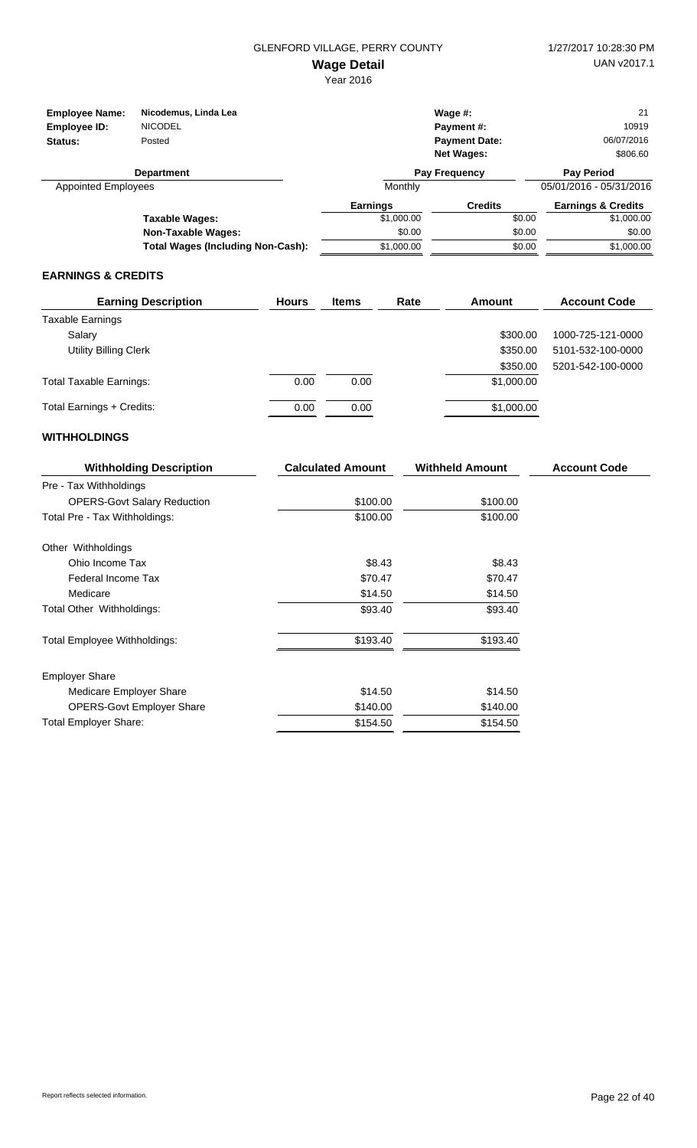| <b>Employee Name:</b><br>Employee ID:<br>Status: | Nicodemus, Linda Lea<br><b>NICODEL</b><br>Posted |                 | Wage $#$ :<br>Payment#:<br><b>Payment Date:</b><br><b>Net Wages:</b> | 21<br>10919<br>06/07/2016<br>\$806.60 |
|--------------------------------------------------|--------------------------------------------------|-----------------|----------------------------------------------------------------------|---------------------------------------|
|                                                  | <b>Department</b>                                |                 | <b>Pay Frequency</b>                                                 | <b>Pay Period</b>                     |
| <b>Appointed Employees</b>                       |                                                  | Monthly         |                                                                      | 05/01/2016 - 05/31/2016               |
|                                                  |                                                  | <b>Earnings</b> | <b>Credits</b>                                                       | <b>Earnings &amp; Credits</b>         |
|                                                  | Taxable Wages:                                   | \$1,000.00      | \$0.00                                                               | \$1,000.00                            |
|                                                  | <b>Non-Taxable Wages:</b>                        | \$0.00          | \$0.00                                                               | \$0.00                                |
|                                                  | <b>Total Wages (Including Non-Cash):</b>         | \$1,000.00      | \$0.00                                                               | \$1,000.00                            |

#### **EARNINGS & CREDITS**

| <b>Earning Description</b>     | <b>Hours</b> | <b>Items</b> | Rate | Amount     | <b>Account Code</b> |
|--------------------------------|--------------|--------------|------|------------|---------------------|
| <b>Taxable Earnings</b>        |              |              |      |            |                     |
| Salary                         |              |              |      | \$300.00   | 1000-725-121-0000   |
| <b>Utility Billing Clerk</b>   |              |              |      | \$350.00   | 5101-532-100-0000   |
|                                |              |              |      | \$350.00   | 5201-542-100-0000   |
| <b>Total Taxable Earnings:</b> | 0.00         | 0.00         |      | \$1,000.00 |                     |
| Total Earnings + Credits:      | 0.00         | 0.00         |      | \$1,000.00 |                     |

| <b>Withholding Description</b>     | <b>Calculated Amount</b> | <b>Withheld Amount</b> | <b>Account Code</b> |
|------------------------------------|--------------------------|------------------------|---------------------|
| Pre - Tax Withholdings             |                          |                        |                     |
| <b>OPERS-Govt Salary Reduction</b> | \$100.00                 | \$100.00               |                     |
| Total Pre - Tax Withholdings:      | \$100.00                 | \$100.00               |                     |
| Other Withholdings                 |                          |                        |                     |
| Ohio Income Tax                    | \$8.43                   | \$8.43                 |                     |
| Federal Income Tax                 | \$70.47                  | \$70.47                |                     |
| Medicare                           | \$14.50                  | \$14.50                |                     |
| Total Other Withholdings:          | \$93.40                  | \$93.40                |                     |
| Total Employee Withholdings:       | \$193.40                 | \$193.40               |                     |
| <b>Employer Share</b>              |                          |                        |                     |
| Medicare Employer Share            | \$14.50                  | \$14.50                |                     |
| <b>OPERS-Govt Employer Share</b>   | \$140.00                 | \$140.00               |                     |
| <b>Total Employer Share:</b>       | \$154.50                 | \$154.50               |                     |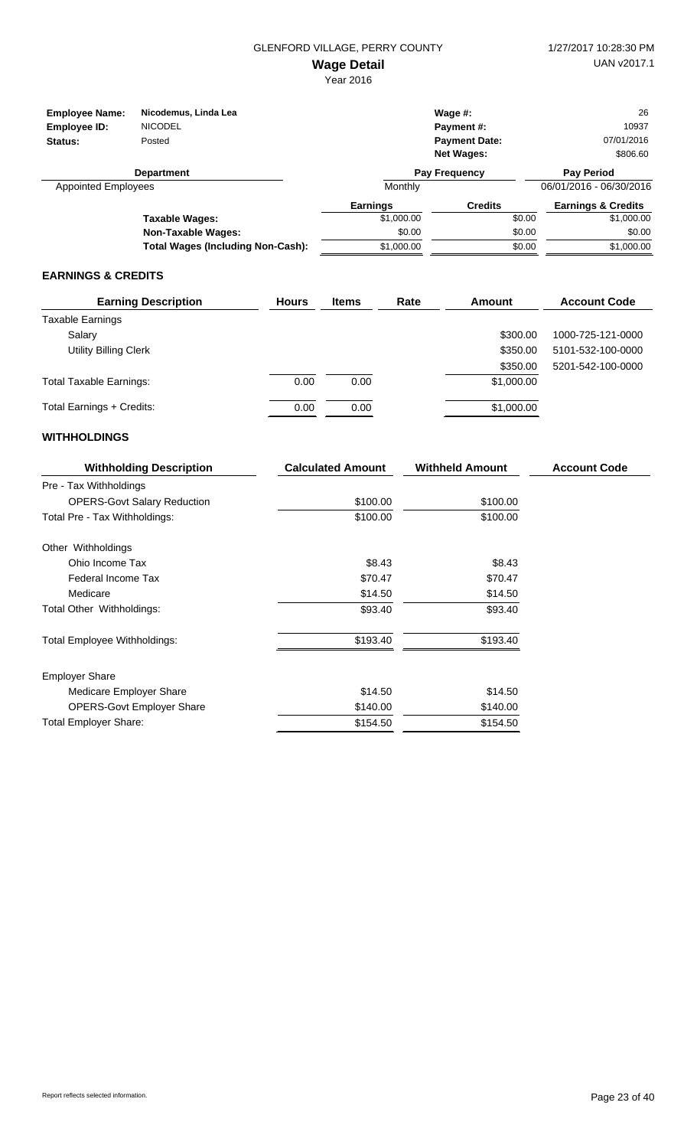| <b>Employee Name:</b>      | Nicodemus, Linda Lea                     |                 | Wage $#$ :           | 26                            |
|----------------------------|------------------------------------------|-----------------|----------------------|-------------------------------|
| Employee ID:               | <b>NICODEL</b>                           |                 | Payment#:            | 10937                         |
| Status:                    | Posted                                   |                 | <b>Payment Date:</b> | 07/01/2016                    |
|                            |                                          |                 | <b>Net Wages:</b>    | \$806.60                      |
|                            | <b>Department</b>                        |                 | <b>Pay Frequency</b> | <b>Pay Period</b>             |
| <b>Appointed Employees</b> |                                          | Monthly         |                      | 06/01/2016 - 06/30/2016       |
|                            |                                          | <b>Earnings</b> | <b>Credits</b>       | <b>Earnings &amp; Credits</b> |
|                            | Taxable Wages:                           | \$1,000.00      | \$0.00               | \$1,000.00                    |
|                            | Non-Taxable Wages:                       | \$0.00          | \$0.00               | \$0.00                        |
|                            | <b>Total Wages (Including Non-Cash):</b> | \$1,000.00      | \$0.00               | \$1,000.00                    |

#### **EARNINGS & CREDITS**

| <b>Earning Description</b>     | <b>Hours</b> | <b>Items</b> | Rate | Amount     | <b>Account Code</b> |
|--------------------------------|--------------|--------------|------|------------|---------------------|
| <b>Taxable Earnings</b>        |              |              |      |            |                     |
| Salary                         |              |              |      | \$300.00   | 1000-725-121-0000   |
| <b>Utility Billing Clerk</b>   |              |              |      | \$350.00   | 5101-532-100-0000   |
|                                |              |              |      | \$350.00   | 5201-542-100-0000   |
| <b>Total Taxable Earnings:</b> | 0.00         | 0.00         |      | \$1,000.00 |                     |
| Total Earnings + Credits:      | 0.00         | 0.00         |      | \$1,000.00 |                     |

| <b>Withholding Description</b>     | <b>Calculated Amount</b> | <b>Withheld Amount</b> | <b>Account Code</b> |
|------------------------------------|--------------------------|------------------------|---------------------|
| Pre - Tax Withholdings             |                          |                        |                     |
| <b>OPERS-Govt Salary Reduction</b> | \$100.00                 | \$100.00               |                     |
| Total Pre - Tax Withholdings:      | \$100.00                 | \$100.00               |                     |
| Other Withholdings                 |                          |                        |                     |
| Ohio Income Tax                    | \$8.43                   | \$8.43                 |                     |
| Federal Income Tax                 | \$70.47                  | \$70.47                |                     |
| Medicare                           | \$14.50                  | \$14.50                |                     |
| Total Other Withholdings:          | \$93.40                  | \$93.40                |                     |
| Total Employee Withholdings:       | \$193.40                 | \$193.40               |                     |
| <b>Employer Share</b>              |                          |                        |                     |
| Medicare Employer Share            | \$14.50                  | \$14.50                |                     |
| <b>OPERS-Govt Employer Share</b>   | \$140.00                 | \$140.00               |                     |
| <b>Total Employer Share:</b>       | \$154.50                 | \$154.50               |                     |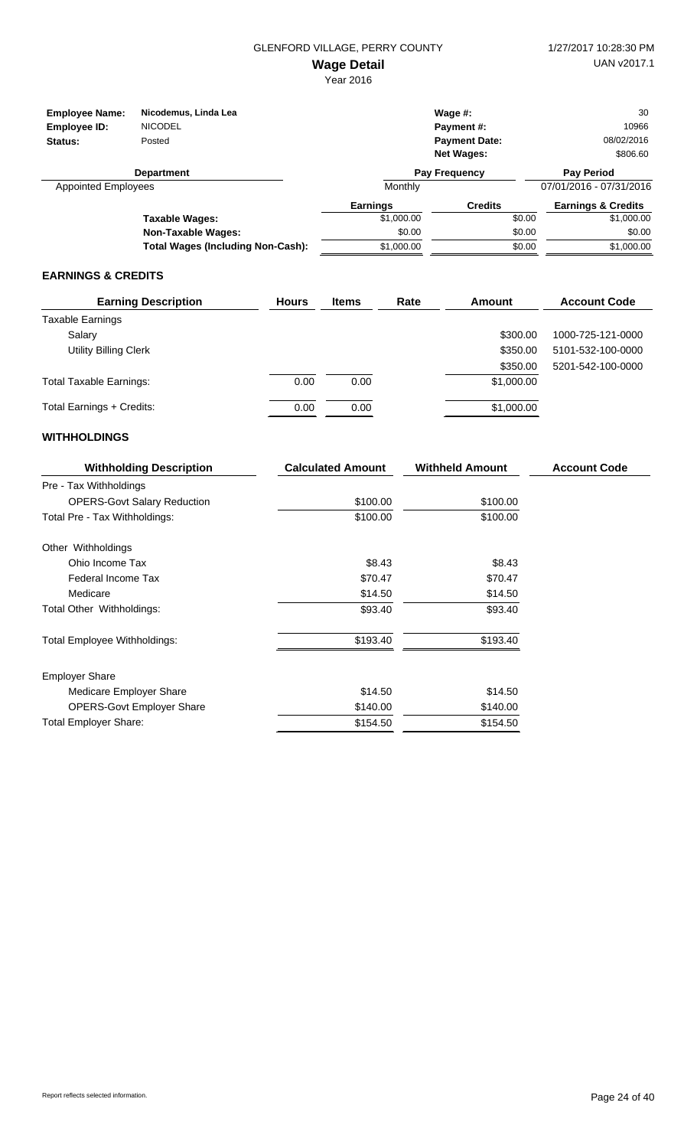| <b>Employee Name:</b><br>Employee ID:<br>Status: | Nicodemus, Linda Lea<br><b>NICODEL</b><br>Posted |                 | Wage $#$ :<br>Payment#:<br><b>Payment Date:</b><br><b>Net Wages:</b> | 30<br>10966<br>08/02/2016<br>\$806.60 |
|--------------------------------------------------|--------------------------------------------------|-----------------|----------------------------------------------------------------------|---------------------------------------|
|                                                  | <b>Department</b>                                |                 | Pay Frequency                                                        | <b>Pay Period</b>                     |
| <b>Appointed Employees</b>                       |                                                  | Monthly         |                                                                      | 07/01/2016 - 07/31/2016               |
|                                                  |                                                  | <b>Earnings</b> | <b>Credits</b>                                                       | <b>Earnings &amp; Credits</b>         |
|                                                  | Taxable Wages:                                   | \$1,000.00      | \$0.00                                                               | \$1,000.00                            |
|                                                  | <b>Non-Taxable Wages:</b>                        | \$0.00          | \$0.00                                                               | \$0.00                                |
|                                                  | <b>Total Wages (Including Non-Cash):</b>         | \$1,000.00      | \$0.00                                                               | \$1,000.00                            |

#### **EARNINGS & CREDITS**

| <b>Earning Description</b>     | <b>Hours</b> | <b>Items</b> | Rate | Amount     | <b>Account Code</b> |
|--------------------------------|--------------|--------------|------|------------|---------------------|
| <b>Taxable Earnings</b>        |              |              |      |            |                     |
| Salary                         |              |              |      | \$300.00   | 1000-725-121-0000   |
| <b>Utility Billing Clerk</b>   |              |              |      | \$350.00   | 5101-532-100-0000   |
|                                |              |              |      | \$350.00   | 5201-542-100-0000   |
| <b>Total Taxable Earnings:</b> | 0.00         | 0.00         |      | \$1,000.00 |                     |
| Total Earnings + Credits:      | 0.00         | 0.00         |      | \$1,000.00 |                     |

| <b>Withholding Description</b>     | <b>Calculated Amount</b> | <b>Withheld Amount</b> | <b>Account Code</b> |
|------------------------------------|--------------------------|------------------------|---------------------|
| Pre - Tax Withholdings             |                          |                        |                     |
| <b>OPERS-Govt Salary Reduction</b> | \$100.00                 | \$100.00               |                     |
| Total Pre - Tax Withholdings:      | \$100.00                 | \$100.00               |                     |
| Other Withholdings                 |                          |                        |                     |
| Ohio Income Tax                    | \$8.43                   | \$8.43                 |                     |
| Federal Income Tax                 | \$70.47                  | \$70.47                |                     |
| Medicare                           | \$14.50                  | \$14.50                |                     |
| Total Other Withholdings:          | \$93.40                  | \$93.40                |                     |
| Total Employee Withholdings:       | \$193.40                 | \$193.40               |                     |
| <b>Employer Share</b>              |                          |                        |                     |
| Medicare Employer Share            | \$14.50                  | \$14.50                |                     |
| <b>OPERS-Govt Employer Share</b>   | \$140.00                 | \$140.00               |                     |
| <b>Total Employer Share:</b>       | \$154.50                 | \$154.50               |                     |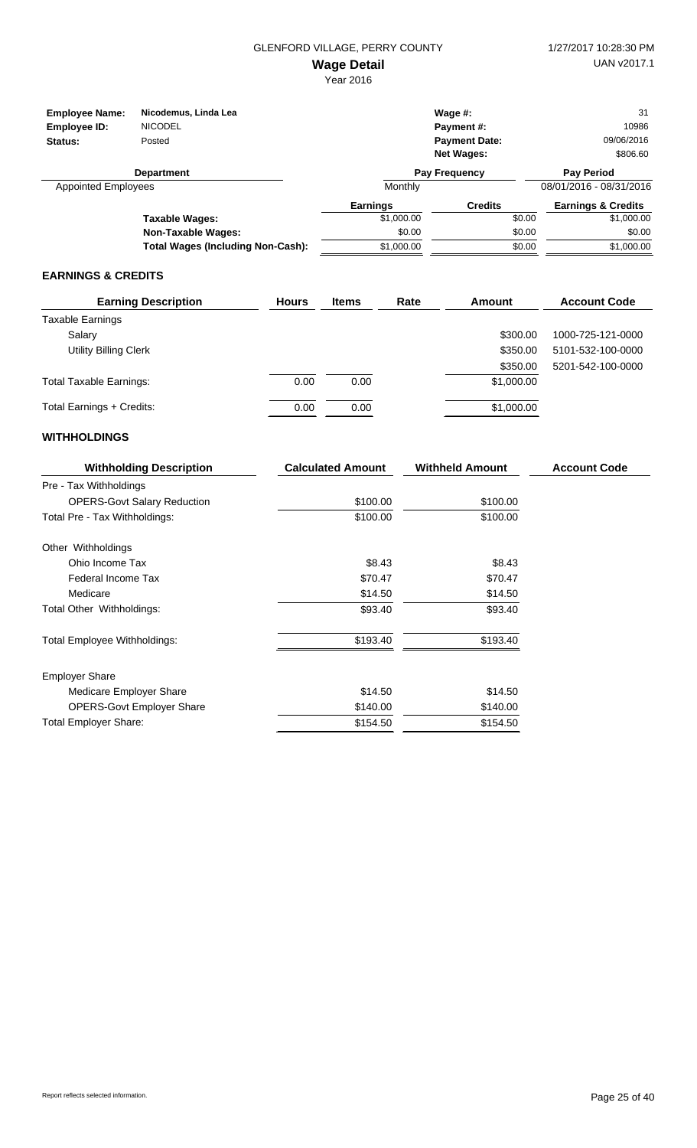| <b>Employee Name:</b>      | Nicodemus, Linda Lea                     |                 | Wage $#$ :           | 31                            |
|----------------------------|------------------------------------------|-----------------|----------------------|-------------------------------|
| Employee ID:               | <b>NICODEL</b>                           |                 | Payment#:            | 10986                         |
| Status:                    | Posted                                   |                 | <b>Payment Date:</b> | 09/06/2016                    |
|                            |                                          |                 | <b>Net Wages:</b>    | \$806.60                      |
|                            | <b>Department</b>                        |                 | <b>Pay Frequency</b> | <b>Pay Period</b>             |
| <b>Appointed Employees</b> |                                          | Monthly         |                      | 08/01/2016 - 08/31/2016       |
|                            |                                          | <b>Earnings</b> | <b>Credits</b>       | <b>Earnings &amp; Credits</b> |
|                            | Taxable Wages:                           | \$1,000.00      | \$0.00               | \$1,000.00                    |
|                            | Non-Taxable Wages:                       | \$0.00          | \$0.00               | \$0.00                        |
|                            | <b>Total Wages (Including Non-Cash):</b> | \$1,000.00      | \$0.00               | \$1,000.00                    |

#### **EARNINGS & CREDITS**

| <b>Earning Description</b>     | <b>Hours</b> | <b>Items</b> | Rate | Amount     | <b>Account Code</b> |
|--------------------------------|--------------|--------------|------|------------|---------------------|
| <b>Taxable Earnings</b>        |              |              |      |            |                     |
| Salary                         |              |              |      | \$300.00   | 1000-725-121-0000   |
| <b>Utility Billing Clerk</b>   |              |              |      | \$350.00   | 5101-532-100-0000   |
|                                |              |              |      | \$350.00   | 5201-542-100-0000   |
| <b>Total Taxable Earnings:</b> | 0.00         | 0.00         |      | \$1,000.00 |                     |
| Total Earnings + Credits:      | 0.00         | 0.00         |      | \$1,000.00 |                     |

| <b>Withholding Description</b>     | <b>Calculated Amount</b> | <b>Withheld Amount</b> | <b>Account Code</b> |
|------------------------------------|--------------------------|------------------------|---------------------|
| Pre - Tax Withholdings             |                          |                        |                     |
| <b>OPERS-Govt Salary Reduction</b> | \$100.00                 | \$100.00               |                     |
| Total Pre - Tax Withholdings:      | \$100.00                 | \$100.00               |                     |
| Other Withholdings                 |                          |                        |                     |
| Ohio Income Tax                    | \$8.43                   | \$8.43                 |                     |
| Federal Income Tax                 | \$70.47                  | \$70.47                |                     |
| Medicare                           | \$14.50                  | \$14.50                |                     |
| Total Other Withholdings:          | \$93.40                  | \$93.40                |                     |
| Total Employee Withholdings:       | \$193.40                 | \$193.40               |                     |
| <b>Employer Share</b>              |                          |                        |                     |
| Medicare Employer Share            | \$14.50                  | \$14.50                |                     |
| <b>OPERS-Govt Employer Share</b>   | \$140.00                 | \$140.00               |                     |
| <b>Total Employer Share:</b>       | \$154.50                 | \$154.50               |                     |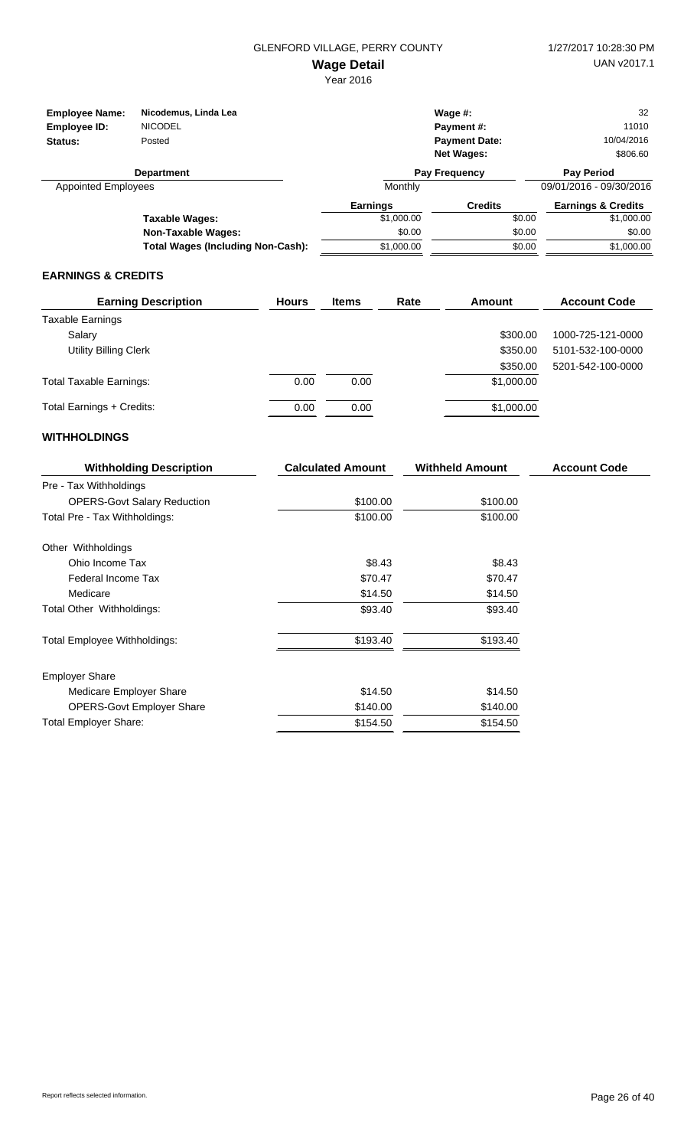| <b>Employee Name:</b><br>Employee ID:<br>Status: | Nicodemus, Linda Lea<br><b>NICODEL</b><br>Posted |                 | Wage $#$ :<br>Payment#:<br><b>Payment Date:</b> | 32<br>11010<br>10/04/2016     |
|--------------------------------------------------|--------------------------------------------------|-----------------|-------------------------------------------------|-------------------------------|
|                                                  |                                                  |                 | <b>Net Wages:</b>                               | \$806.60                      |
|                                                  | <b>Department</b>                                |                 | Pay Frequency                                   | <b>Pay Period</b>             |
| <b>Appointed Employees</b>                       |                                                  | Monthly         |                                                 | 09/01/2016 - 09/30/2016       |
|                                                  |                                                  | <b>Earnings</b> | <b>Credits</b>                                  | <b>Earnings &amp; Credits</b> |
|                                                  | Taxable Wages:                                   | \$1,000.00      | \$0.00                                          | \$1,000.00                    |
|                                                  | Non-Taxable Wages:                               | \$0.00          | \$0.00                                          | \$0.00                        |
|                                                  | <b>Total Wages (Including Non-Cash):</b>         | \$1,000.00      | \$0.00                                          | \$1,000.00                    |

#### **EARNINGS & CREDITS**

| <b>Earning Description</b>     | <b>Hours</b> | <b>Items</b> | Rate | Amount     | <b>Account Code</b> |
|--------------------------------|--------------|--------------|------|------------|---------------------|
| <b>Taxable Earnings</b>        |              |              |      |            |                     |
| Salary                         |              |              |      | \$300.00   | 1000-725-121-0000   |
| <b>Utility Billing Clerk</b>   |              |              |      | \$350.00   | 5101-532-100-0000   |
|                                |              |              |      | \$350.00   | 5201-542-100-0000   |
| <b>Total Taxable Earnings:</b> | 0.00         | 0.00         |      | \$1,000.00 |                     |
| Total Earnings + Credits:      | 0.00         | 0.00         |      | \$1,000.00 |                     |

| <b>Withholding Description</b>     | <b>Calculated Amount</b> | <b>Withheld Amount</b> | <b>Account Code</b> |
|------------------------------------|--------------------------|------------------------|---------------------|
| Pre - Tax Withholdings             |                          |                        |                     |
| <b>OPERS-Govt Salary Reduction</b> | \$100.00                 | \$100.00               |                     |
| Total Pre - Tax Withholdings:      | \$100.00                 | \$100.00               |                     |
| Other Withholdings                 |                          |                        |                     |
| Ohio Income Tax                    | \$8.43                   | \$8.43                 |                     |
| Federal Income Tax                 | \$70.47                  | \$70.47                |                     |
| Medicare                           | \$14.50                  | \$14.50                |                     |
| Total Other Withholdings:          | \$93.40                  | \$93.40                |                     |
| Total Employee Withholdings:       | \$193.40                 | \$193.40               |                     |
| <b>Employer Share</b>              |                          |                        |                     |
| Medicare Employer Share            | \$14.50                  | \$14.50                |                     |
| <b>OPERS-Govt Employer Share</b>   | \$140.00                 | \$140.00               |                     |
| <b>Total Employer Share:</b>       | \$154.50                 | \$154.50               |                     |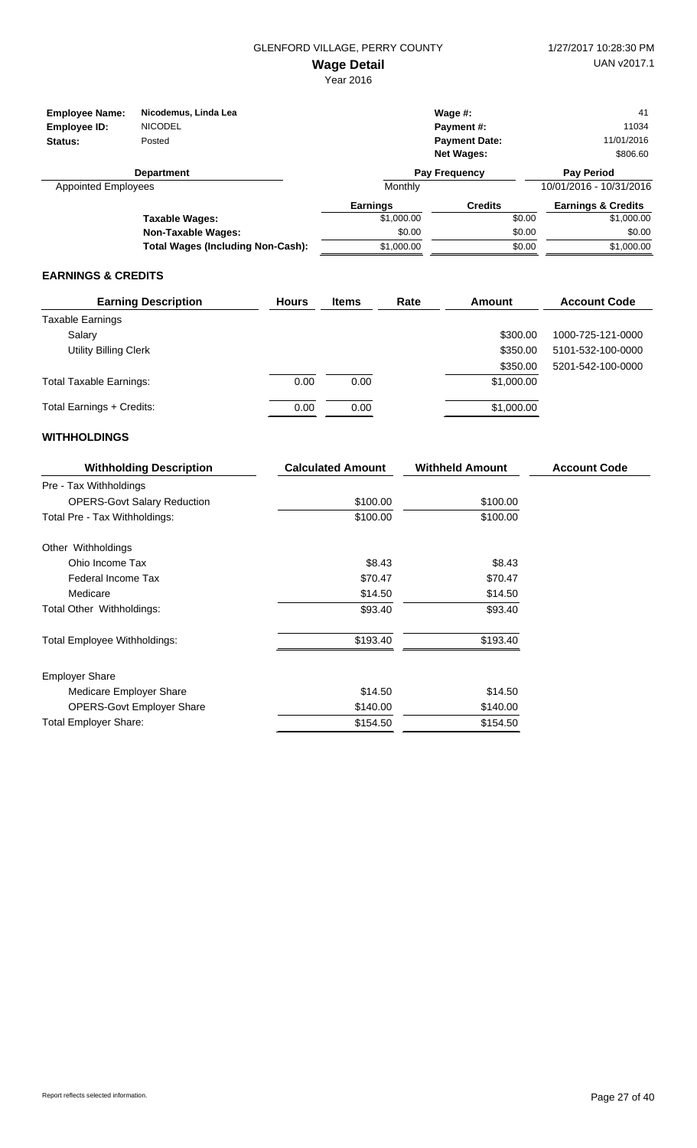| <b>Employee Name:</b><br>Employee ID:<br>Status: | Nicodemus, Linda Lea<br><b>NICODEL</b><br>Posted |                 | Wage $#$ :<br>Payment#:<br><b>Payment Date:</b> | 41<br>11034<br>11/01/2016     |
|--------------------------------------------------|--------------------------------------------------|-----------------|-------------------------------------------------|-------------------------------|
|                                                  |                                                  |                 | <b>Net Wages:</b>                               | \$806.60                      |
|                                                  | <b>Department</b>                                |                 | <b>Pay Frequency</b>                            | <b>Pay Period</b>             |
| <b>Appointed Employees</b>                       |                                                  | Monthly         |                                                 | 10/01/2016 - 10/31/2016       |
|                                                  |                                                  | <b>Earnings</b> | <b>Credits</b>                                  | <b>Earnings &amp; Credits</b> |
|                                                  | Taxable Wages:                                   | \$1,000.00      | \$0.00                                          | \$1,000.00                    |
|                                                  | <b>Non-Taxable Wages:</b>                        | \$0.00          | \$0.00                                          | \$0.00                        |
|                                                  | <b>Total Wages (Including Non-Cash):</b>         | \$1,000.00      | \$0.00                                          | \$1,000.00                    |

#### **EARNINGS & CREDITS**

| <b>Earning Description</b>     | <b>Hours</b> | <b>Items</b> | Rate | Amount     | <b>Account Code</b> |
|--------------------------------|--------------|--------------|------|------------|---------------------|
| <b>Taxable Earnings</b>        |              |              |      |            |                     |
| Salary                         |              |              |      | \$300.00   | 1000-725-121-0000   |
| <b>Utility Billing Clerk</b>   |              |              |      | \$350.00   | 5101-532-100-0000   |
|                                |              |              |      | \$350.00   | 5201-542-100-0000   |
| <b>Total Taxable Earnings:</b> | 0.00         | 0.00         |      | \$1,000.00 |                     |
| Total Earnings + Credits:      | 0.00         | 0.00         |      | \$1,000.00 |                     |

| <b>Withholding Description</b>     | <b>Calculated Amount</b> | <b>Withheld Amount</b> | <b>Account Code</b> |
|------------------------------------|--------------------------|------------------------|---------------------|
| Pre - Tax Withholdings             |                          |                        |                     |
| <b>OPERS-Govt Salary Reduction</b> | \$100.00                 | \$100.00               |                     |
| Total Pre - Tax Withholdings:      | \$100.00                 | \$100.00               |                     |
| Other Withholdings                 |                          |                        |                     |
| Ohio Income Tax                    | \$8.43                   | \$8.43                 |                     |
| Federal Income Tax                 | \$70.47                  | \$70.47                |                     |
| Medicare                           | \$14.50                  | \$14.50                |                     |
| Total Other Withholdings:          | \$93.40                  | \$93.40                |                     |
| Total Employee Withholdings:       | \$193.40                 | \$193.40               |                     |
| <b>Employer Share</b>              |                          |                        |                     |
| Medicare Employer Share            | \$14.50                  | \$14.50                |                     |
| <b>OPERS-Govt Employer Share</b>   | \$140.00                 | \$140.00               |                     |
| <b>Total Employer Share:</b>       | \$154.50                 | \$154.50               |                     |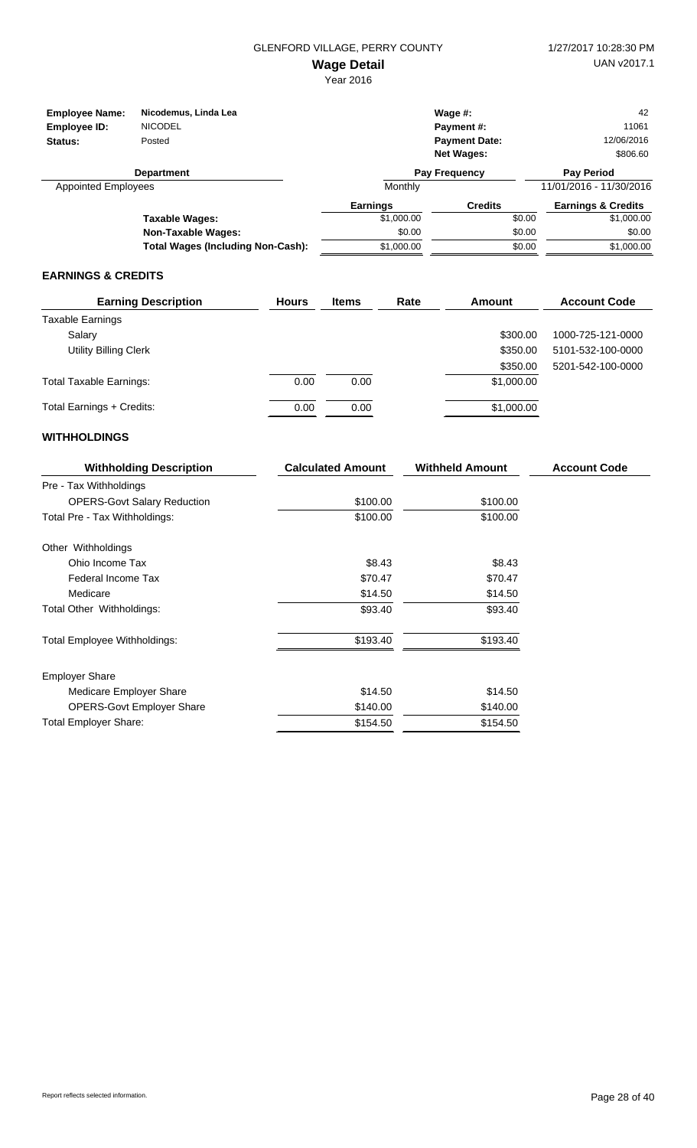| <b>Employee Name:</b><br>Employee ID: | Nicodemus, Linda Lea<br><b>NICODEL</b>   |                 | Wage $#$ :<br>Payment#: | 42<br>11061                   |
|---------------------------------------|------------------------------------------|-----------------|-------------------------|-------------------------------|
|                                       |                                          |                 |                         | 12/06/2016                    |
| Status:                               | Posted                                   |                 | <b>Payment Date:</b>    |                               |
|                                       |                                          |                 | <b>Net Wages:</b>       | \$806.60                      |
|                                       | <b>Department</b>                        |                 | <b>Pay Frequency</b>    | <b>Pay Period</b>             |
| <b>Appointed Employees</b>            |                                          | Monthly         |                         | 11/01/2016 - 11/30/2016       |
|                                       |                                          | <b>Earnings</b> | <b>Credits</b>          | <b>Earnings &amp; Credits</b> |
|                                       | Taxable Wages:                           | \$1,000.00      | \$0.00                  | \$1,000.00                    |
|                                       | <b>Non-Taxable Wages:</b>                | \$0.00          | \$0.00                  | \$0.00                        |
|                                       | <b>Total Wages (Including Non-Cash):</b> | \$1,000.00      | \$0.00                  | \$1,000.00                    |

#### **EARNINGS & CREDITS**

| <b>Earning Description</b>     | <b>Hours</b> | <b>Items</b> | Rate | Amount     | <b>Account Code</b> |
|--------------------------------|--------------|--------------|------|------------|---------------------|
| <b>Taxable Earnings</b>        |              |              |      |            |                     |
| Salary                         |              |              |      | \$300.00   | 1000-725-121-0000   |
| <b>Utility Billing Clerk</b>   |              |              |      | \$350.00   | 5101-532-100-0000   |
|                                |              |              |      | \$350.00   | 5201-542-100-0000   |
| <b>Total Taxable Earnings:</b> | 0.00         | 0.00         |      | \$1,000.00 |                     |
| Total Earnings + Credits:      | 0.00         | 0.00         |      | \$1,000.00 |                     |

| <b>Withholding Description</b>     | <b>Calculated Amount</b> | <b>Withheld Amount</b> | <b>Account Code</b> |
|------------------------------------|--------------------------|------------------------|---------------------|
| Pre - Tax Withholdings             |                          |                        |                     |
| <b>OPERS-Govt Salary Reduction</b> | \$100.00                 | \$100.00               |                     |
| Total Pre - Tax Withholdings:      | \$100.00                 | \$100.00               |                     |
| Other Withholdings                 |                          |                        |                     |
| Ohio Income Tax                    | \$8.43                   | \$8.43                 |                     |
| Federal Income Tax                 | \$70.47                  | \$70.47                |                     |
| Medicare                           | \$14.50                  | \$14.50                |                     |
| Total Other Withholdings:          | \$93.40                  | \$93.40                |                     |
| Total Employee Withholdings:       | \$193.40                 | \$193.40               |                     |
| <b>Employer Share</b>              |                          |                        |                     |
| Medicare Employer Share            | \$14.50                  | \$14.50                |                     |
| <b>OPERS-Govt Employer Share</b>   | \$140.00                 | \$140.00               |                     |
| <b>Total Employer Share:</b>       | \$154.50                 | \$154.50               |                     |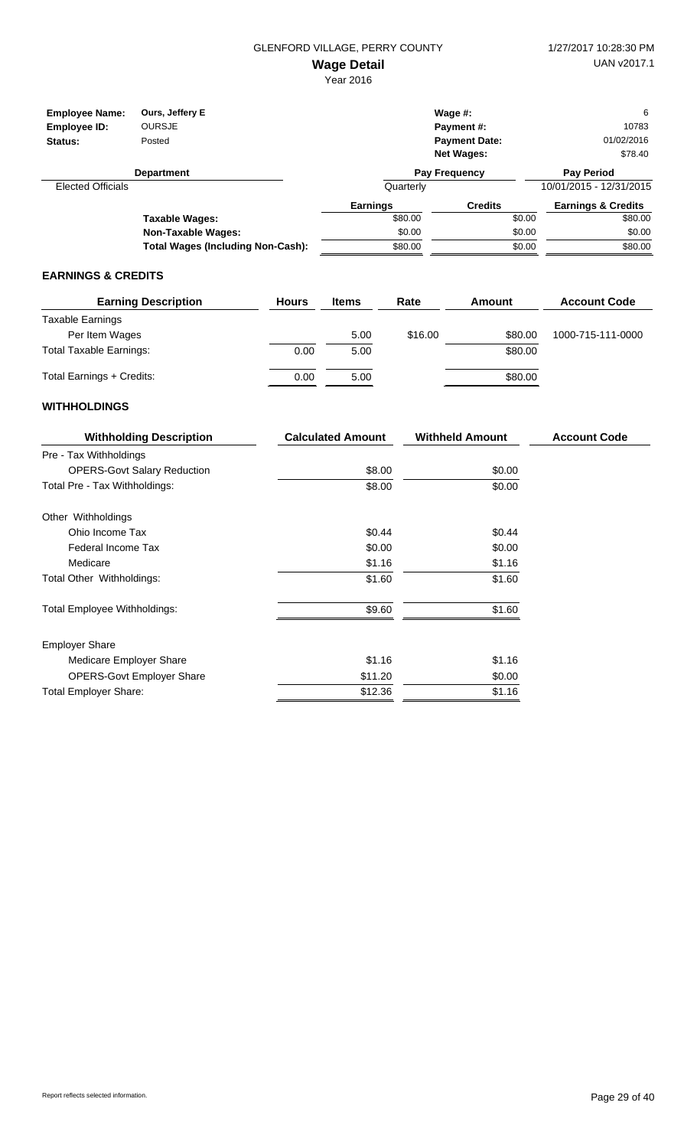| <b>Employee Name:</b><br>Employee ID:<br>Status: | Ours, Jeffery E<br><b>OURSJE</b><br>Posted |                 | Wage $#$ :<br>Payment #:<br><b>Payment Date:</b><br><b>Net Wages:</b> | 6<br>10783<br>01/02/2016<br>\$78.40 |
|--------------------------------------------------|--------------------------------------------|-----------------|-----------------------------------------------------------------------|-------------------------------------|
|                                                  | <b>Department</b>                          |                 | Pay Frequency                                                         | <b>Pay Period</b>                   |
| <b>Elected Officials</b>                         |                                            | Quarterly       |                                                                       | 10/01/2015 - 12/31/2015             |
|                                                  |                                            | <b>Earnings</b> | <b>Credits</b>                                                        | <b>Earnings &amp; Credits</b>       |
|                                                  | <b>Taxable Wages:</b>                      | \$80.00         |                                                                       | \$80.00<br>\$0.00                   |
|                                                  | Non-Taxable Wages:                         | \$0.00          |                                                                       | \$0.00<br>\$0.00                    |
|                                                  | <b>Total Wages (Including Non-Cash):</b>   | \$80.00         |                                                                       | \$80.00<br>\$0.00                   |

## **EARNINGS & CREDITS**

| <b>Earning Description</b>     | <b>Hours</b> | <b>Items</b> | Rate    | Amount  | <b>Account Code</b> |
|--------------------------------|--------------|--------------|---------|---------|---------------------|
| Taxable Earnings               |              |              |         |         |                     |
| Per Item Wages                 |              | 5.00         | \$16.00 | \$80.00 | 1000-715-111-0000   |
| <b>Total Taxable Earnings:</b> | 0.00         | 5.00         |         | \$80.00 |                     |
| Total Earnings + Credits:      | 0.00         | 5.00         |         | \$80.00 |                     |

| <b>Withholding Description</b>      | <b>Calculated Amount</b> | <b>Withheld Amount</b> | <b>Account Code</b> |
|-------------------------------------|--------------------------|------------------------|---------------------|
| Pre - Tax Withholdings              |                          |                        |                     |
| <b>OPERS-Govt Salary Reduction</b>  | \$8.00                   | \$0.00                 |                     |
| Total Pre - Tax Withholdings:       | \$8.00                   | \$0.00                 |                     |
| Other Withholdings                  |                          |                        |                     |
| Ohio Income Tax                     | \$0.44                   | \$0.44                 |                     |
| Federal Income Tax                  | \$0.00                   | \$0.00                 |                     |
| Medicare                            | \$1.16                   | \$1.16                 |                     |
| Total Other Withholdings:           | \$1.60                   | \$1.60                 |                     |
| <b>Total Employee Withholdings:</b> | \$9.60                   | \$1.60                 |                     |
| <b>Employer Share</b>               |                          |                        |                     |
| Medicare Employer Share             | \$1.16                   | \$1.16                 |                     |
| <b>OPERS-Govt Employer Share</b>    | \$11.20                  | \$0.00                 |                     |
| <b>Total Employer Share:</b>        | \$12.36                  | \$1.16                 |                     |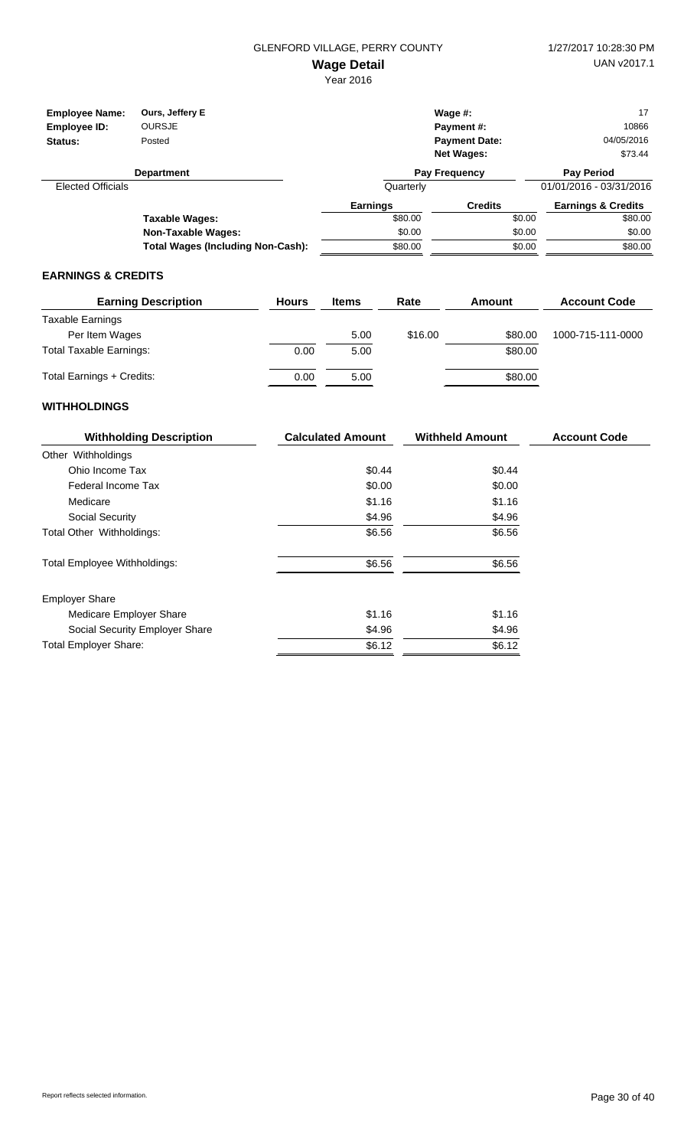| <b>Employee Name:</b><br>Employee ID: | Ours, Jeffery E<br><b>OURSJE</b>         |                 | Wage $#$ :<br><b>Payment #:</b> | 17<br>10866                   |
|---------------------------------------|------------------------------------------|-----------------|---------------------------------|-------------------------------|
| Status:                               | Posted                                   |                 | <b>Payment Date:</b>            | 04/05/2016                    |
|                                       |                                          |                 | <b>Net Wages:</b>               | \$73.44                       |
|                                       | <b>Department</b>                        |                 | <b>Pay Frequency</b>            | <b>Pay Period</b>             |
| <b>Elected Officials</b>              |                                          | Quarterly       |                                 | 01/01/2016 - 03/31/2016       |
|                                       |                                          | <b>Earnings</b> | <b>Credits</b>                  | <b>Earnings &amp; Credits</b> |
|                                       | Taxable Wages:                           | \$80.00         |                                 | \$80.00<br>\$0.00             |
|                                       | <b>Non-Taxable Wages:</b>                | \$0.00          |                                 | \$0.00<br>\$0.00              |
|                                       | <b>Total Wages (Including Non-Cash):</b> | \$80.00         |                                 | \$80.00<br>\$0.00             |

#### **EARNINGS & CREDITS**

| <b>Earning Description</b>     | <b>Hours</b> | <b>Items</b> | Rate    | Amount  | <b>Account Code</b> |
|--------------------------------|--------------|--------------|---------|---------|---------------------|
| Taxable Earnings               |              |              |         |         |                     |
| Per Item Wages                 |              | 5.00         | \$16.00 | \$80.00 | 1000-715-111-0000   |
| <b>Total Taxable Earnings:</b> | 0.00         | 5.00         |         | \$80.00 |                     |
| Total Earnings + Credits:      | 0.00         | 5.00         |         | \$80.00 |                     |

| <b>Withholding Description</b>      | <b>Calculated Amount</b> | <b>Withheld Amount</b> | <b>Account Code</b> |
|-------------------------------------|--------------------------|------------------------|---------------------|
| Other Withholdings                  |                          |                        |                     |
| Ohio Income Tax                     | \$0.44                   | \$0.44                 |                     |
| Federal Income Tax                  | \$0.00                   | \$0.00                 |                     |
| Medicare                            | \$1.16                   | \$1.16                 |                     |
| Social Security                     | \$4.96                   | \$4.96                 |                     |
| Total Other Withholdings:           | \$6.56                   | \$6.56                 |                     |
| <b>Total Employee Withholdings:</b> | \$6.56                   | \$6.56                 |                     |
| <b>Employer Share</b>               |                          |                        |                     |
| Medicare Employer Share             | \$1.16                   | \$1.16                 |                     |
| Social Security Employer Share      | \$4.96                   | \$4.96                 |                     |
| <b>Total Employer Share:</b>        | \$6.12                   | \$6.12                 |                     |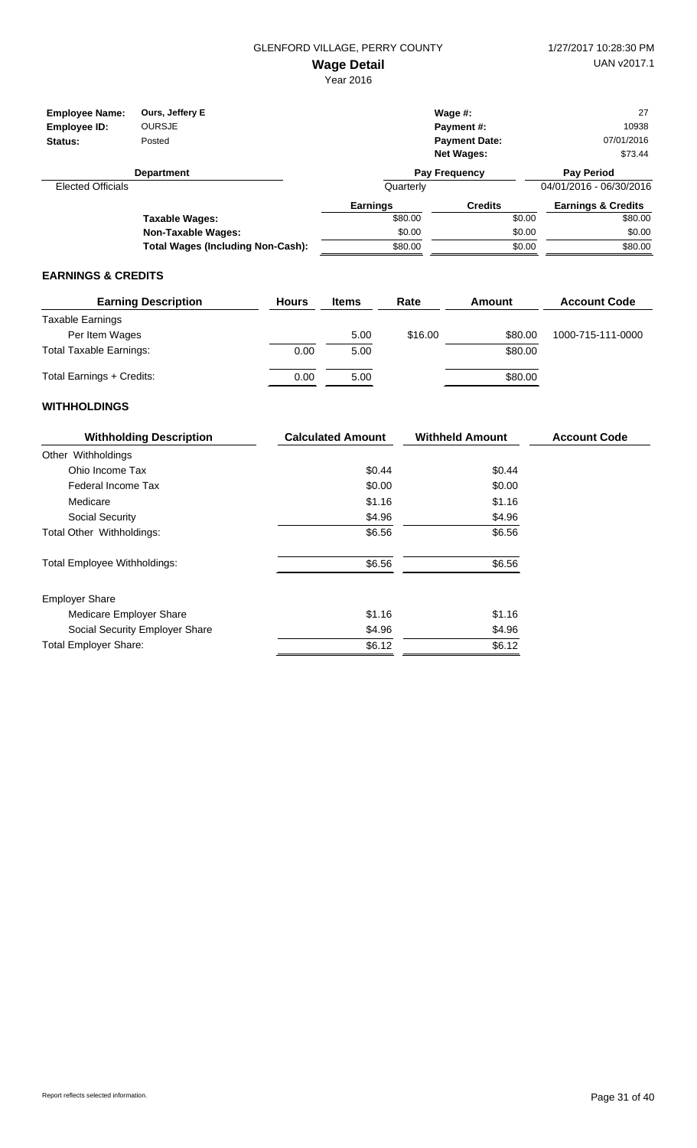| <b>Employee Name:</b>    | Ours, Jeffery E                          |                 | Wage $#$ :           | 27                            |
|--------------------------|------------------------------------------|-----------------|----------------------|-------------------------------|
| Employee ID:             | <b>OURSJE</b>                            |                 | <b>Payment #:</b>    | 10938                         |
| Status:                  | Posted                                   |                 | <b>Payment Date:</b> | 07/01/2016                    |
|                          |                                          |                 | <b>Net Wages:</b>    | \$73.44                       |
|                          | <b>Department</b>                        |                 | <b>Pay Frequency</b> | <b>Pay Period</b>             |
| <b>Elected Officials</b> |                                          | Quarterly       |                      | 04/01/2016 - 06/30/2016       |
|                          |                                          | <b>Earnings</b> | <b>Credits</b>       | <b>Earnings &amp; Credits</b> |
|                          | Taxable Wages:                           | \$80.00         | \$0.00               | \$80.00                       |
|                          | Non-Taxable Wages:                       | \$0.00          | \$0.00               | \$0.00                        |
|                          | <b>Total Wages (Including Non-Cash):</b> | \$80.00         | \$0.00               | \$80.00                       |

#### **EARNINGS & CREDITS**

| <b>Earning Description</b>     | <b>Hours</b> | <b>Items</b> | Rate    | Amount  | <b>Account Code</b> |
|--------------------------------|--------------|--------------|---------|---------|---------------------|
| Taxable Earnings               |              |              |         |         |                     |
| Per Item Wages                 |              | 5.00         | \$16.00 | \$80.00 | 1000-715-111-0000   |
| <b>Total Taxable Earnings:</b> | 0.00         | 5.00         |         | \$80.00 |                     |
| Total Earnings + Credits:      | 0.00         | 5.00         |         | \$80.00 |                     |

| <b>Withholding Description</b>      | <b>Calculated Amount</b> | <b>Withheld Amount</b> | <b>Account Code</b> |
|-------------------------------------|--------------------------|------------------------|---------------------|
| Other Withholdings                  |                          |                        |                     |
| Ohio Income Tax                     | \$0.44                   | \$0.44                 |                     |
| Federal Income Tax                  | \$0.00                   | \$0.00                 |                     |
| Medicare                            | \$1.16                   | \$1.16                 |                     |
| Social Security                     | \$4.96                   | \$4.96                 |                     |
| Total Other Withholdings:           | \$6.56                   | \$6.56                 |                     |
| <b>Total Employee Withholdings:</b> | \$6.56                   | \$6.56                 |                     |
| <b>Employer Share</b>               |                          |                        |                     |
| Medicare Employer Share             | \$1.16                   | \$1.16                 |                     |
| Social Security Employer Share      | \$4.96                   | \$4.96                 |                     |
| <b>Total Employer Share:</b>        | \$6.12                   | \$6.12                 |                     |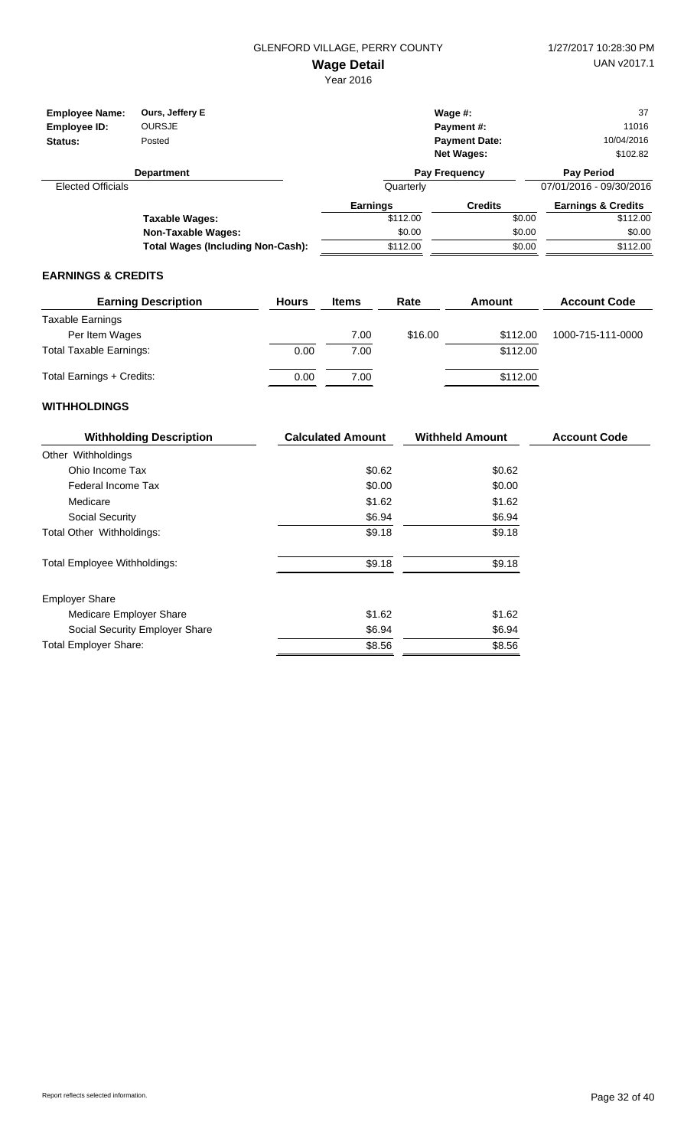| <b>Employee Name:</b>    | Ours, Jeffery E                          |                 | Wage $#$ :           |        | 37                            |
|--------------------------|------------------------------------------|-----------------|----------------------|--------|-------------------------------|
| Employee ID:             | <b>OURSJE</b>                            |                 | <b>Payment #:</b>    |        | 11016                         |
| Status:                  | Posted                                   |                 | <b>Payment Date:</b> |        | 10/04/2016                    |
|                          |                                          |                 | <b>Net Wages:</b>    |        | \$102.82                      |
|                          | <b>Department</b>                        |                 | Pay Frequency        |        | <b>Pay Period</b>             |
| <b>Elected Officials</b> |                                          | Quarterly       |                      |        | 07/01/2016 - 09/30/2016       |
|                          |                                          | <b>Earnings</b> | <b>Credits</b>       |        | <b>Earnings &amp; Credits</b> |
|                          | Taxable Wages:                           | \$112.00        |                      | \$0.00 | \$112.00                      |
|                          | Non-Taxable Wages:                       | \$0.00          |                      | \$0.00 | \$0.00                        |
|                          | <b>Total Wages (Including Non-Cash):</b> | \$112.00        |                      | \$0.00 | \$112.00                      |

#### **EARNINGS & CREDITS**

| <b>Earning Description</b>     | <b>Hours</b> | <b>Items</b> | Rate    | Amount   | <b>Account Code</b> |
|--------------------------------|--------------|--------------|---------|----------|---------------------|
| Taxable Earnings               |              |              |         |          |                     |
| Per Item Wages                 |              | 7.00         | \$16.00 | \$112.00 | 1000-715-111-0000   |
| <b>Total Taxable Earnings:</b> | 0.00         | 7.00         |         | \$112.00 |                     |
| Total Earnings + Credits:      | 0.00         | 7.00         |         | \$112.00 |                     |

| <b>Withholding Description</b>      | <b>Calculated Amount</b> | <b>Withheld Amount</b> | <b>Account Code</b> |
|-------------------------------------|--------------------------|------------------------|---------------------|
| Other Withholdings                  |                          |                        |                     |
| Ohio Income Tax                     | \$0.62                   | \$0.62                 |                     |
| Federal Income Tax                  | \$0.00                   | \$0.00                 |                     |
| Medicare                            | \$1.62                   | \$1.62                 |                     |
| Social Security                     | \$6.94                   | \$6.94                 |                     |
| Total Other Withholdings:           | \$9.18                   | \$9.18                 |                     |
| <b>Total Employee Withholdings:</b> | \$9.18                   | \$9.18                 |                     |
| <b>Employer Share</b>               |                          |                        |                     |
| Medicare Employer Share             | \$1.62                   | \$1.62                 |                     |
| Social Security Employer Share      | \$6.94                   | \$6.94                 |                     |
| <b>Total Employer Share:</b>        | \$8.56                   | \$8.56                 |                     |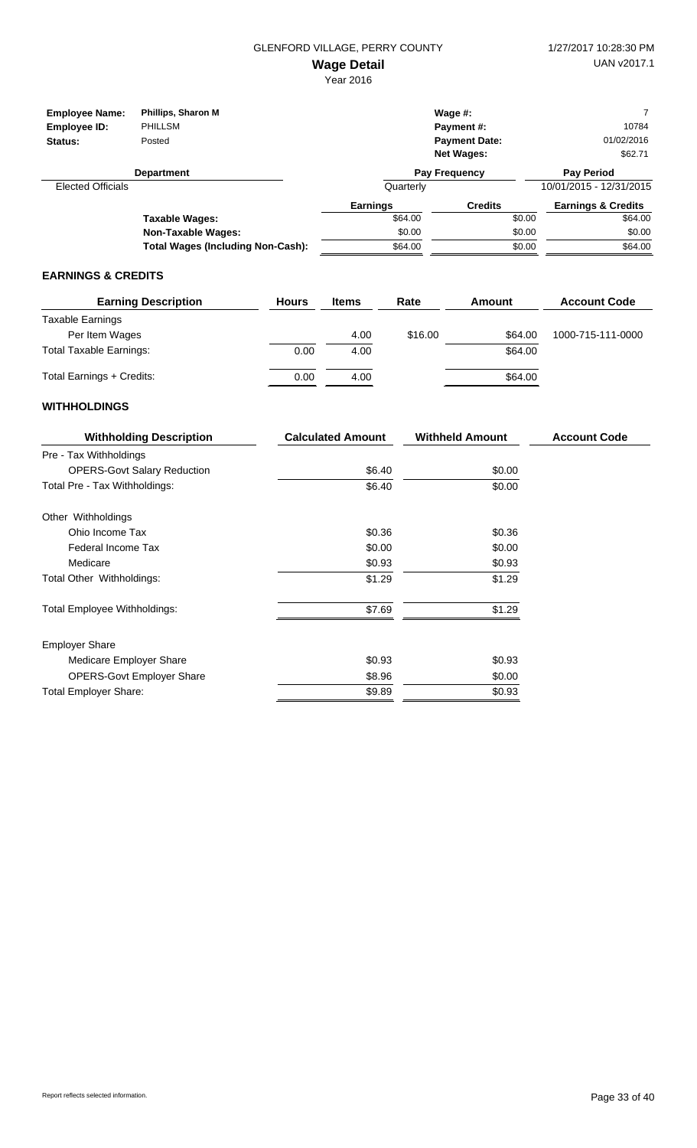Year 2016

| <b>Employee Name:</b><br>Employee ID:<br>Status: | Phillips, Sharon M<br><b>PHILLSM</b><br>Posted |                 | Wage $#$ :<br>Payment#:<br><b>Payment Date:</b><br><b>Net Wages:</b> | 10784<br>01/02/2016<br>\$62.71 |  |
|--------------------------------------------------|------------------------------------------------|-----------------|----------------------------------------------------------------------|--------------------------------|--|
|                                                  | <b>Department</b>                              |                 | <b>Pay Frequency</b>                                                 | <b>Pay Period</b>              |  |
| <b>Elected Officials</b>                         |                                                | Quarterly       |                                                                      | 10/01/2015 - 12/31/2015        |  |
|                                                  |                                                | <b>Earnings</b> | <b>Credits</b>                                                       | <b>Earnings &amp; Credits</b>  |  |
|                                                  | Taxable Wages:                                 | \$64.00         | \$0.00                                                               | \$64.00                        |  |
|                                                  | Non-Taxable Wages:                             | \$0.00          | \$0.00                                                               | \$0.00                         |  |
|                                                  | <b>Total Wages (Including Non-Cash):</b>       | \$64.00         | \$0.00                                                               | \$64.00                        |  |

## **EARNINGS & CREDITS**

| <b>Earning Description</b>     | <b>Hours</b> | <b>Items</b> | Rate    | Amount  | <b>Account Code</b> |
|--------------------------------|--------------|--------------|---------|---------|---------------------|
| Taxable Earnings               |              |              |         |         |                     |
| Per Item Wages                 |              | 4.00         | \$16.00 | \$64.00 | 1000-715-111-0000   |
| <b>Total Taxable Earnings:</b> | 0.00         | 4.00         |         | \$64.00 |                     |
| Total Earnings + Credits:      | 0.00         | 4.00         |         | \$64.00 |                     |

| <b>Withholding Description</b>     | <b>Calculated Amount</b> | <b>Withheld Amount</b> | <b>Account Code</b> |
|------------------------------------|--------------------------|------------------------|---------------------|
| Pre - Tax Withholdings             |                          |                        |                     |
| <b>OPERS-Govt Salary Reduction</b> | \$6.40                   | \$0.00                 |                     |
| Total Pre - Tax Withholdings:      | \$6.40                   | \$0.00                 |                     |
| Other Withholdings                 |                          |                        |                     |
| Ohio Income Tax                    | \$0.36                   | \$0.36                 |                     |
| Federal Income Tax                 | \$0.00                   | \$0.00                 |                     |
| Medicare                           | \$0.93                   | \$0.93                 |                     |
| Total Other Withholdings:          | \$1.29                   | \$1.29                 |                     |
| Total Employee Withholdings:       | \$7.69                   | \$1.29                 |                     |
| <b>Employer Share</b>              |                          |                        |                     |
| Medicare Employer Share            | \$0.93                   | \$0.93                 |                     |
| <b>OPERS-Govt Employer Share</b>   | \$8.96                   | \$0.00                 |                     |
| <b>Total Employer Share:</b>       | \$9.89                   | \$0.93                 |                     |
|                                    |                          |                        |                     |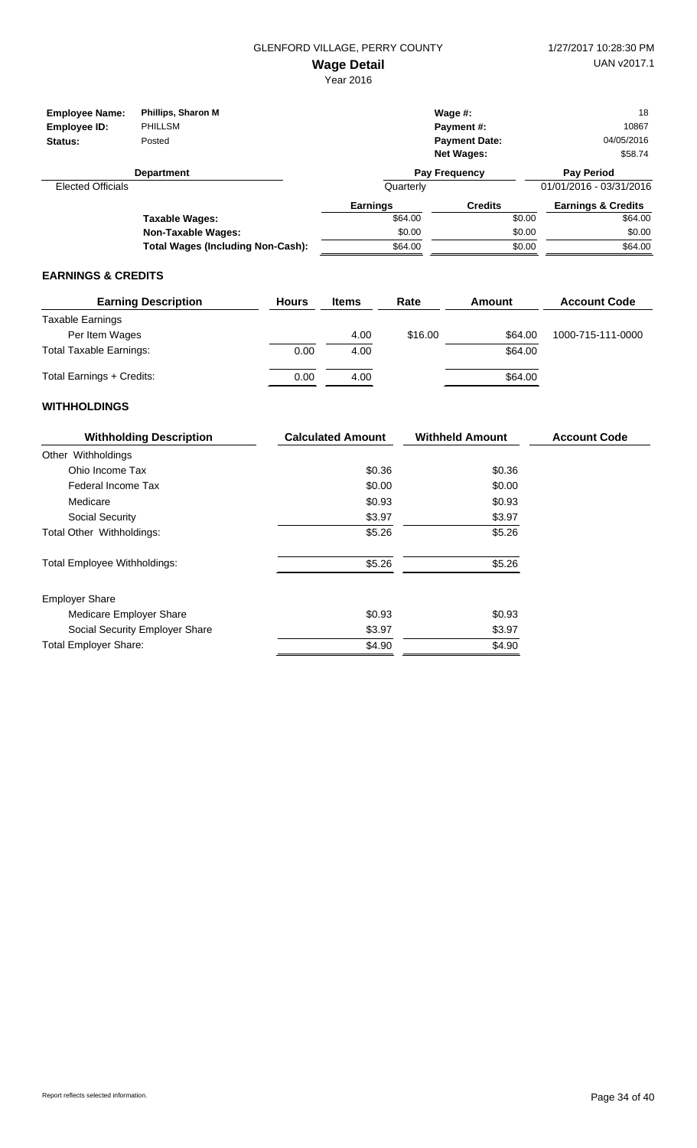| <b>Employee Name:</b>    | Phillips, Sharon M                       |                 | Wage $#$ :           |        | 18                            |
|--------------------------|------------------------------------------|-----------------|----------------------|--------|-------------------------------|
| Employee ID:             | PHILLSM                                  |                 | <b>Payment #:</b>    |        | 10867                         |
| Status:                  | Posted                                   |                 | <b>Payment Date:</b> |        | 04/05/2016                    |
|                          |                                          |                 | <b>Net Wages:</b>    |        | \$58.74                       |
|                          | <b>Department</b>                        |                 | Pay Frequency        |        | <b>Pay Period</b>             |
| <b>Elected Officials</b> |                                          | Quarterly       |                      |        | 01/01/2016 - 03/31/2016       |
|                          |                                          | <b>Earnings</b> | <b>Credits</b>       |        | <b>Earnings &amp; Credits</b> |
|                          | Taxable Wages:                           | \$64.00         |                      | \$0.00 | \$64.00                       |
|                          | <b>Non-Taxable Wages:</b>                | \$0.00          |                      | \$0.00 | \$0.00                        |
|                          | <b>Total Wages (Including Non-Cash):</b> | \$64.00         |                      | \$0.00 | \$64.00                       |

#### **EARNINGS & CREDITS**

| <b>Earning Description</b>     | <b>Hours</b> | <b>Items</b> | Rate    | Amount  | <b>Account Code</b> |
|--------------------------------|--------------|--------------|---------|---------|---------------------|
| Taxable Earnings               |              |              |         |         |                     |
| Per Item Wages                 |              | 4.00         | \$16.00 | \$64.00 | 1000-715-111-0000   |
| <b>Total Taxable Earnings:</b> | 0.00         | 4.00         |         | \$64.00 |                     |
| Total Earnings + Credits:      | 0.00         | 4.00         |         | \$64.00 |                     |

| <b>Withholding Description</b>      | <b>Calculated Amount</b> | <b>Withheld Amount</b> | <b>Account Code</b> |
|-------------------------------------|--------------------------|------------------------|---------------------|
| Other Withholdings                  |                          |                        |                     |
| Ohio Income Tax                     | \$0.36                   | \$0.36                 |                     |
| Federal Income Tax                  | \$0.00                   | \$0.00                 |                     |
| Medicare                            | \$0.93                   | \$0.93                 |                     |
| Social Security                     | \$3.97                   | \$3.97                 |                     |
| Total Other Withholdings:           | \$5.26                   | \$5.26                 |                     |
| <b>Total Employee Withholdings:</b> | \$5.26                   | \$5.26                 |                     |
| <b>Employer Share</b>               |                          |                        |                     |
| Medicare Employer Share             | \$0.93                   | \$0.93                 |                     |
| Social Security Employer Share      | \$3.97                   | \$3.97                 |                     |
| <b>Total Employer Share:</b>        | \$4.90                   | \$4.90                 |                     |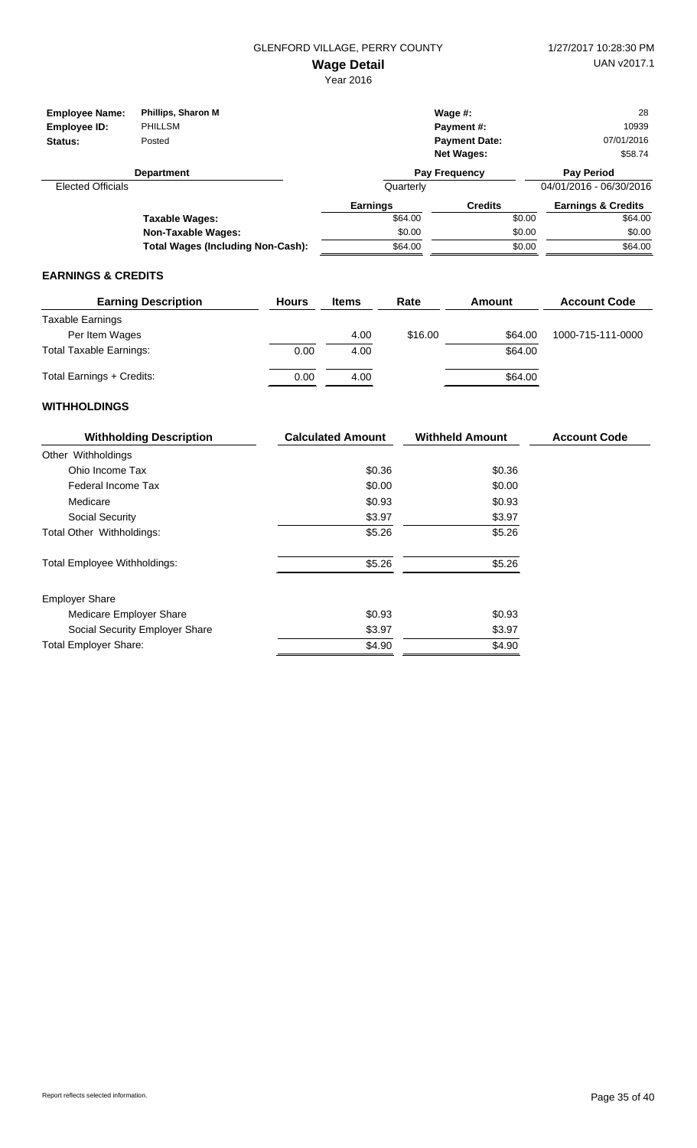| <b>Employee Name:</b>    | Phillips, Sharon M                       |                 | Wage $#$ :           |        | 28                            |
|--------------------------|------------------------------------------|-----------------|----------------------|--------|-------------------------------|
| Employee ID:             | PHILLSM                                  |                 | Payment#:            |        | 10939                         |
| Status:                  | Posted                                   |                 | <b>Payment Date:</b> |        | 07/01/2016                    |
|                          |                                          |                 | <b>Net Wages:</b>    |        | \$58.74                       |
|                          | <b>Department</b>                        |                 | <b>Pay Frequency</b> |        | <b>Pay Period</b>             |
| <b>Elected Officials</b> |                                          | Quarterly       |                      |        | 04/01/2016 - 06/30/2016       |
|                          |                                          | <b>Earnings</b> | <b>Credits</b>       |        | <b>Earnings &amp; Credits</b> |
|                          | Taxable Wages:                           | \$64.00         |                      | \$0.00 | \$64.00                       |
|                          | <b>Non-Taxable Wages:</b>                | \$0.00          |                      | \$0.00 | \$0.00                        |
|                          | <b>Total Wages (Including Non-Cash):</b> | \$64.00         |                      | \$0.00 | \$64.00                       |

#### **EARNINGS & CREDITS**

| <b>Earning Description</b> | <b>Hours</b> | <b>Items</b> | Rate    | Amount  | <b>Account Code</b> |
|----------------------------|--------------|--------------|---------|---------|---------------------|
| Taxable Earnings           |              |              |         |         |                     |
| Per Item Wages             |              | 4.00         | \$16.00 | \$64.00 | 1000-715-111-0000   |
| Total Taxable Earnings:    | 0.00         | 4.00         |         | \$64.00 |                     |
| Total Earnings + Credits:  | 0.00         | 4.00         |         | \$64.00 |                     |

| <b>Withholding Description</b>      | <b>Calculated Amount</b> | <b>Withheld Amount</b> | <b>Account Code</b> |
|-------------------------------------|--------------------------|------------------------|---------------------|
| Other Withholdings                  |                          |                        |                     |
| Ohio Income Tax                     | \$0.36                   | \$0.36                 |                     |
| Federal Income Tax                  | \$0.00                   | \$0.00                 |                     |
| Medicare                            | \$0.93                   | \$0.93                 |                     |
| Social Security                     | \$3.97                   | \$3.97                 |                     |
| Total Other Withholdings:           | \$5.26                   | \$5.26                 |                     |
| <b>Total Employee Withholdings:</b> | \$5.26                   | \$5.26                 |                     |
| <b>Employer Share</b>               |                          |                        |                     |
| Medicare Employer Share             | \$0.93                   | \$0.93                 |                     |
| Social Security Employer Share      | \$3.97                   | \$3.97                 |                     |
| <b>Total Employer Share:</b>        | \$4.90                   | \$4.90                 |                     |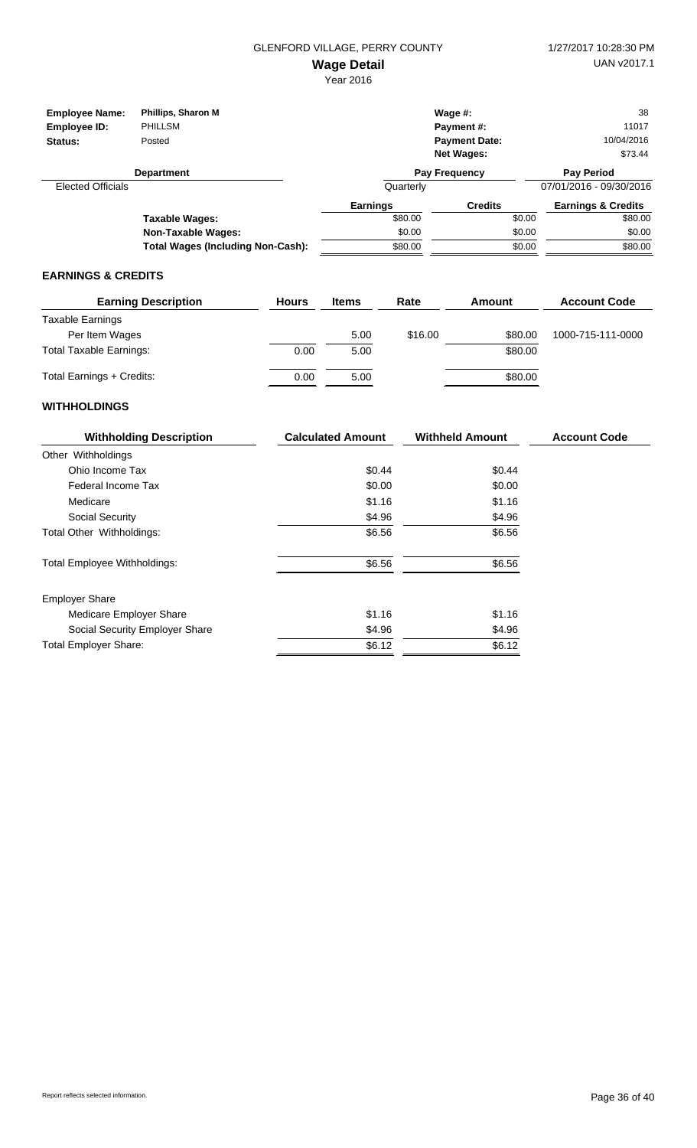Year 2016

| <b>Employee Name:</b><br>Employee ID:<br>Status: | Phillips, Sharon M<br>PHILLSM<br>Posted |                 | Wage $#$ :<br>Payment #:<br><b>Payment Date:</b><br><b>Net Wages:</b> | 38<br>11017<br>10/04/2016<br>\$73.44 |
|--------------------------------------------------|-----------------------------------------|-----------------|-----------------------------------------------------------------------|--------------------------------------|
|                                                  | <b>Department</b>                       |                 | Pay Frequency                                                         | <b>Pay Period</b>                    |
| <b>Elected Officials</b>                         |                                         | Quarterly       |                                                                       | 07/01/2016 - 09/30/2016              |
|                                                  |                                         | <b>Earnings</b> | <b>Credits</b>                                                        | <b>Earnings &amp; Credits</b>        |
|                                                  | Taxable Wages:                          | \$80.00         | \$0.00                                                                | \$80.00                              |
|                                                  | <b>Non-Taxable Wages:</b>               | \$0.00          | \$0.00                                                                | \$0.00                               |
|                                                  | Total Wages (Including Non-Cash):       | \$80.00         | \$0.00                                                                | \$80.00                              |

## **EARNINGS & CREDITS**

| <b>Earning Description</b>     | <b>Hours</b> | <b>Items</b> | Rate    | Amount  | <b>Account Code</b> |
|--------------------------------|--------------|--------------|---------|---------|---------------------|
| Taxable Earnings               |              |              |         |         |                     |
| Per Item Wages                 |              | 5.00         | \$16.00 | \$80.00 | 1000-715-111-0000   |
| <b>Total Taxable Earnings:</b> | 0.00         | 5.00         |         | \$80.00 |                     |
| Total Earnings + Credits:      | 0.00         | 5.00         |         | \$80.00 |                     |

| <b>Withholding Description</b>      | <b>Calculated Amount</b> | <b>Withheld Amount</b> | <b>Account Code</b> |
|-------------------------------------|--------------------------|------------------------|---------------------|
| Other Withholdings                  |                          |                        |                     |
| Ohio Income Tax                     | \$0.44                   | \$0.44                 |                     |
| Federal Income Tax                  | \$0.00                   | \$0.00                 |                     |
| Medicare                            | \$1.16                   | \$1.16                 |                     |
| Social Security                     | \$4.96                   | \$4.96                 |                     |
| Total Other Withholdings:           | \$6.56                   | \$6.56                 |                     |
| <b>Total Employee Withholdings:</b> | \$6.56                   | \$6.56                 |                     |
| <b>Employer Share</b>               |                          |                        |                     |
| Medicare Employer Share             | \$1.16                   | \$1.16                 |                     |
| Social Security Employer Share      | \$4.96                   | \$4.96                 |                     |
| <b>Total Employer Share:</b>        | \$6.12                   | \$6.12                 |                     |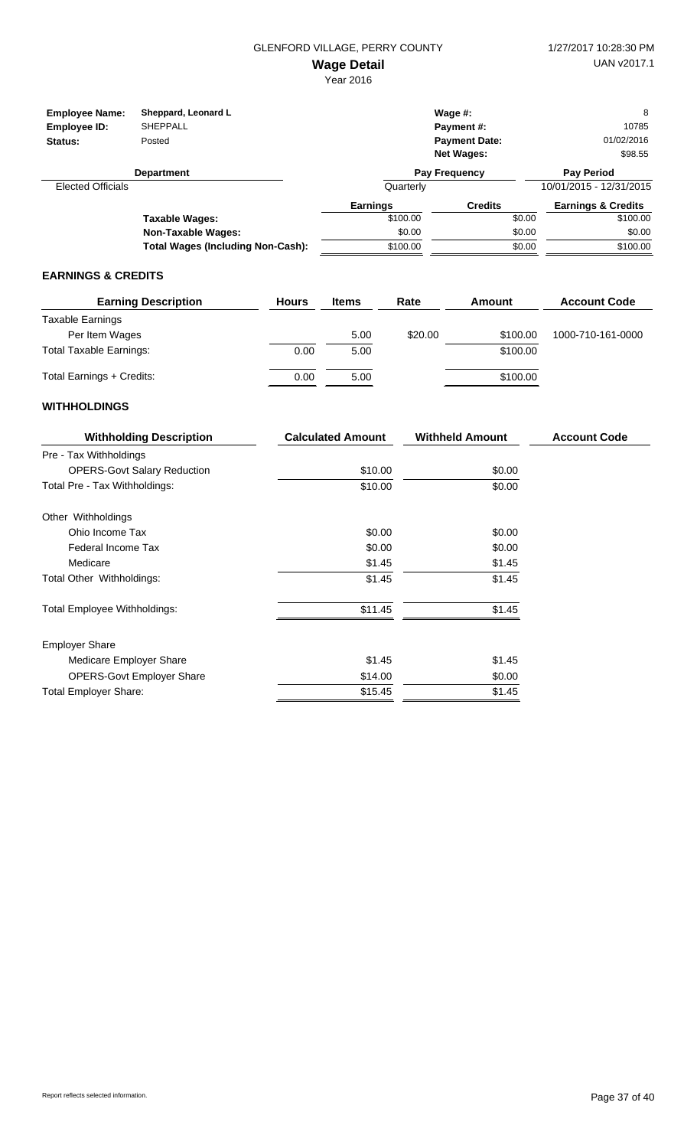Year 2016

| <b>Employee Name:</b><br>Employee ID:<br>Status: | Sheppard, Leonard L<br><b>SHEPPALL</b><br>Posted |                 | Wage $#$ :<br>Payment#:<br><b>Payment Date:</b><br><b>Net Wages:</b> | 8<br>10785<br>01/02/2016<br>\$98.55 |
|--------------------------------------------------|--------------------------------------------------|-----------------|----------------------------------------------------------------------|-------------------------------------|
|                                                  | <b>Department</b>                                |                 | Pay Frequency                                                        | <b>Pay Period</b>                   |
| <b>Elected Officials</b>                         |                                                  | Quarterly       |                                                                      | 10/01/2015 - 12/31/2015             |
|                                                  |                                                  | <b>Earnings</b> | <b>Credits</b>                                                       | <b>Earnings &amp; Credits</b>       |
|                                                  | Taxable Wages:                                   | \$100.00        | \$0.00                                                               | \$100.00                            |
|                                                  | Non-Taxable Wages:                               | \$0.00          | \$0.00                                                               | \$0.00                              |
|                                                  | <b>Total Wages (Including Non-Cash):</b>         | \$100.00        | \$0.00                                                               | \$100.00                            |

#### **EARNINGS & CREDITS**

| <b>Earning Description</b>     | <b>Hours</b> | <b>Items</b> | Rate    | Amount   | <b>Account Code</b> |
|--------------------------------|--------------|--------------|---------|----------|---------------------|
| Taxable Earnings               |              |              |         |          |                     |
| Per Item Wages                 |              | 5.00         | \$20.00 | \$100.00 | 1000-710-161-0000   |
| <b>Total Taxable Earnings:</b> | 0.00         | 5.00         |         | \$100.00 |                     |
| Total Earnings + Credits:      | 0.00         | 5.00         |         | \$100.00 |                     |

| <b>Withholding Description</b>      | <b>Calculated Amount</b> | <b>Withheld Amount</b> | <b>Account Code</b> |
|-------------------------------------|--------------------------|------------------------|---------------------|
| Pre - Tax Withholdings              |                          |                        |                     |
| <b>OPERS-Govt Salary Reduction</b>  | \$10.00                  | \$0.00                 |                     |
| Total Pre - Tax Withholdings:       | \$10.00                  | \$0.00                 |                     |
| Other Withholdings                  |                          |                        |                     |
| Ohio Income Tax                     | \$0.00                   | \$0.00                 |                     |
| Federal Income Tax                  | \$0.00                   | \$0.00                 |                     |
| Medicare                            | \$1.45                   | \$1.45                 |                     |
| Total Other Withholdings:           | \$1.45                   | \$1.45                 |                     |
| <b>Total Employee Withholdings:</b> | \$11.45                  | \$1.45                 |                     |
| <b>Employer Share</b>               |                          |                        |                     |
| Medicare Employer Share             | \$1.45                   | \$1.45                 |                     |
| <b>OPERS-Govt Employer Share</b>    | \$14.00                  | \$0.00                 |                     |
| <b>Total Employer Share:</b>        | \$15.45                  | \$1.45                 |                     |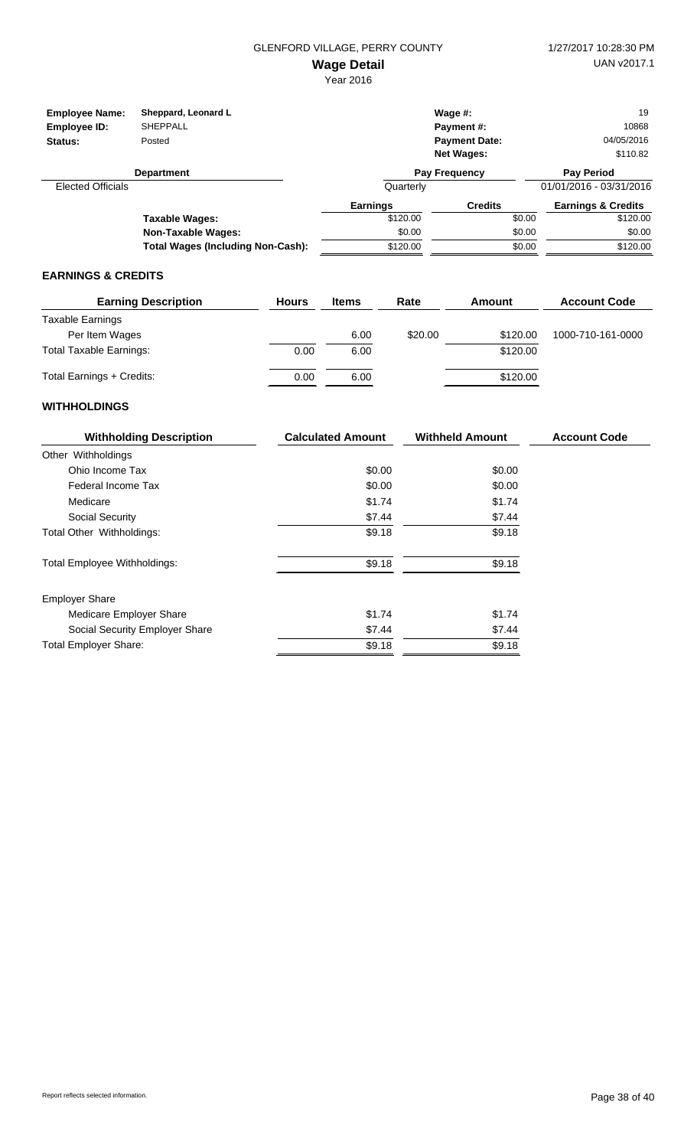| <b>Employee Name:</b><br>Employee ID:<br>Status: | Sheppard, Leonard L<br><b>SHEPPALL</b><br>Posted |           | Wage $#$ :<br>Payment#:<br><b>Payment Date:</b><br><b>Net Wages:</b> | 19<br>10868<br>04/05/2016<br>\$110.82 |
|--------------------------------------------------|--------------------------------------------------|-----------|----------------------------------------------------------------------|---------------------------------------|
|                                                  | <b>Department</b>                                |           | <b>Pay Frequency</b>                                                 | <b>Pay Period</b>                     |
| <b>Elected Officials</b>                         |                                                  | Quarterly |                                                                      | 01/01/2016 - 03/31/2016               |
|                                                  |                                                  | Earnings  | <b>Credits</b>                                                       | <b>Earnings &amp; Credits</b>         |
|                                                  | Taxable Wages:                                   | \$120.00  | \$0.00                                                               | \$120.00                              |
|                                                  | <b>Non-Taxable Wages:</b>                        | \$0.00    | \$0.00                                                               | \$0.00                                |
|                                                  | <b>Total Wages (Including Non-Cash):</b>         | \$120.00  | \$0.00                                                               | \$120.00                              |

#### **EARNINGS & CREDITS**

| <b>Earning Description</b>     | <b>Hours</b> | <b>Items</b> | Rate    | Amount   | <b>Account Code</b> |
|--------------------------------|--------------|--------------|---------|----------|---------------------|
| Taxable Earnings               |              |              |         |          |                     |
| Per Item Wages                 |              | 6.00         | \$20.00 | \$120.00 | 1000-710-161-0000   |
| <b>Total Taxable Earnings:</b> | 0.00         | 6.00         |         | \$120.00 |                     |
| Total Earnings + Credits:      | 0.00         | 6.00         |         | \$120.00 |                     |

| <b>Withholding Description</b>      | <b>Calculated Amount</b> | <b>Withheld Amount</b> | <b>Account Code</b> |
|-------------------------------------|--------------------------|------------------------|---------------------|
| Other Withholdings                  |                          |                        |                     |
| Ohio Income Tax                     | \$0.00                   | \$0.00                 |                     |
| Federal Income Tax                  | \$0.00                   | \$0.00                 |                     |
| Medicare                            | \$1.74                   | \$1.74                 |                     |
| Social Security                     | \$7.44                   | \$7.44                 |                     |
| Total Other Withholdings:           | \$9.18                   | \$9.18                 |                     |
| <b>Total Employee Withholdings:</b> | \$9.18                   | \$9.18                 |                     |
| <b>Employer Share</b>               |                          |                        |                     |
| Medicare Employer Share             | \$1.74                   | \$1.74                 |                     |
| Social Security Employer Share      | \$7.44                   | \$7.44                 |                     |
| <b>Total Employer Share:</b>        | \$9.18                   | \$9.18                 |                     |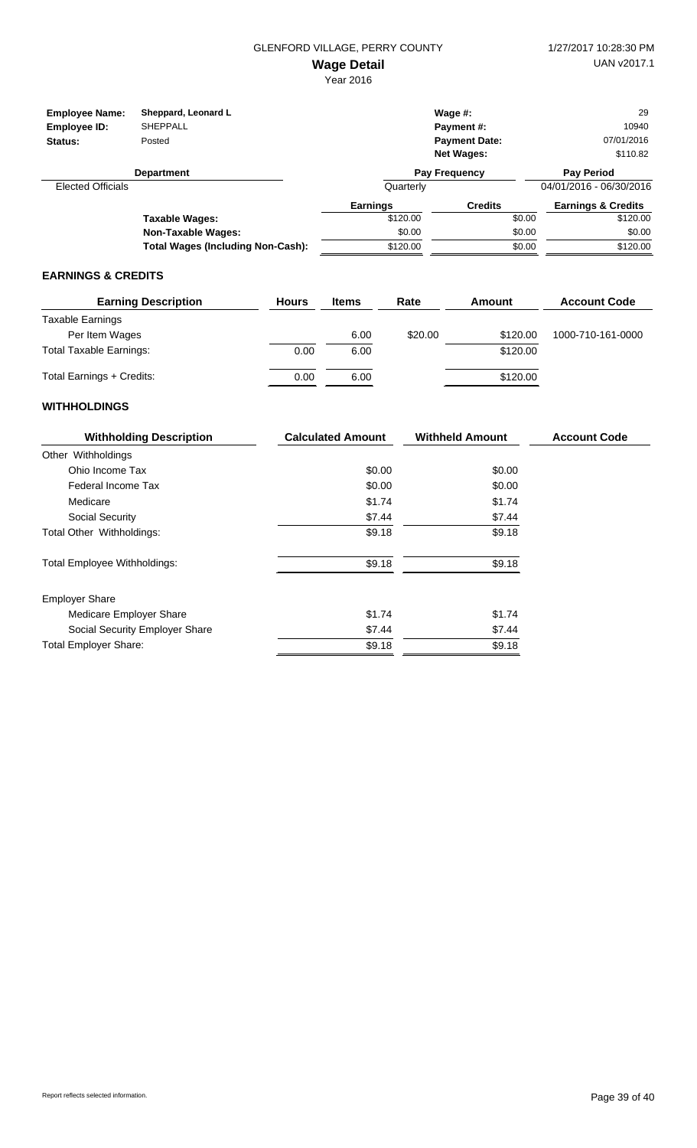| <b>Employee Name:</b><br>Employee ID:<br>Status: | Sheppard, Leonard L<br><b>SHEPPALL</b><br>Posted |                 | Wage $#$ :<br>Payment#:<br><b>Payment Date:</b><br><b>Net Wages:</b> | 29<br>10940<br>07/01/2016<br>\$110.82 |
|--------------------------------------------------|--------------------------------------------------|-----------------|----------------------------------------------------------------------|---------------------------------------|
|                                                  | <b>Department</b>                                |                 | Pay Frequency                                                        | <b>Pay Period</b>                     |
| <b>Elected Officials</b>                         |                                                  | Quarterly       |                                                                      | 04/01/2016 - 06/30/2016               |
|                                                  |                                                  | <b>Earnings</b> | <b>Credits</b>                                                       | <b>Earnings &amp; Credits</b>         |
|                                                  | Taxable Wages:                                   | \$120.00        | \$0.00                                                               | \$120.00                              |
|                                                  | <b>Non-Taxable Wages:</b>                        | \$0.00          | \$0.00                                                               | \$0.00                                |
|                                                  | <b>Total Wages (Including Non-Cash):</b>         | \$120.00        | \$0.00                                                               | \$120.00                              |

#### **EARNINGS & CREDITS**

| <b>Earning Description</b>     | <b>Hours</b> | <b>Items</b> | Rate    | Amount   | <b>Account Code</b> |
|--------------------------------|--------------|--------------|---------|----------|---------------------|
| Taxable Earnings               |              |              |         |          |                     |
| Per Item Wages                 |              | 6.00         | \$20.00 | \$120.00 | 1000-710-161-0000   |
| <b>Total Taxable Earnings:</b> | 0.00         | 6.00         |         | \$120.00 |                     |
| Total Earnings + Credits:      | 0.00         | 6.00         |         | \$120.00 |                     |

| <b>Withholding Description</b>      | <b>Calculated Amount</b> | <b>Withheld Amount</b> | <b>Account Code</b> |
|-------------------------------------|--------------------------|------------------------|---------------------|
| Other Withholdings                  |                          |                        |                     |
| Ohio Income Tax                     | \$0.00                   | \$0.00                 |                     |
| Federal Income Tax                  | \$0.00                   | \$0.00                 |                     |
| Medicare                            | \$1.74                   | \$1.74                 |                     |
| Social Security                     | \$7.44                   | \$7.44                 |                     |
| Total Other Withholdings:           | \$9.18                   | \$9.18                 |                     |
| <b>Total Employee Withholdings:</b> | \$9.18                   | \$9.18                 |                     |
| <b>Employer Share</b>               |                          |                        |                     |
| Medicare Employer Share             | \$1.74                   | \$1.74                 |                     |
| Social Security Employer Share      | \$7.44                   | \$7.44                 |                     |
| <b>Total Employer Share:</b>        | \$9.18                   | \$9.18                 |                     |